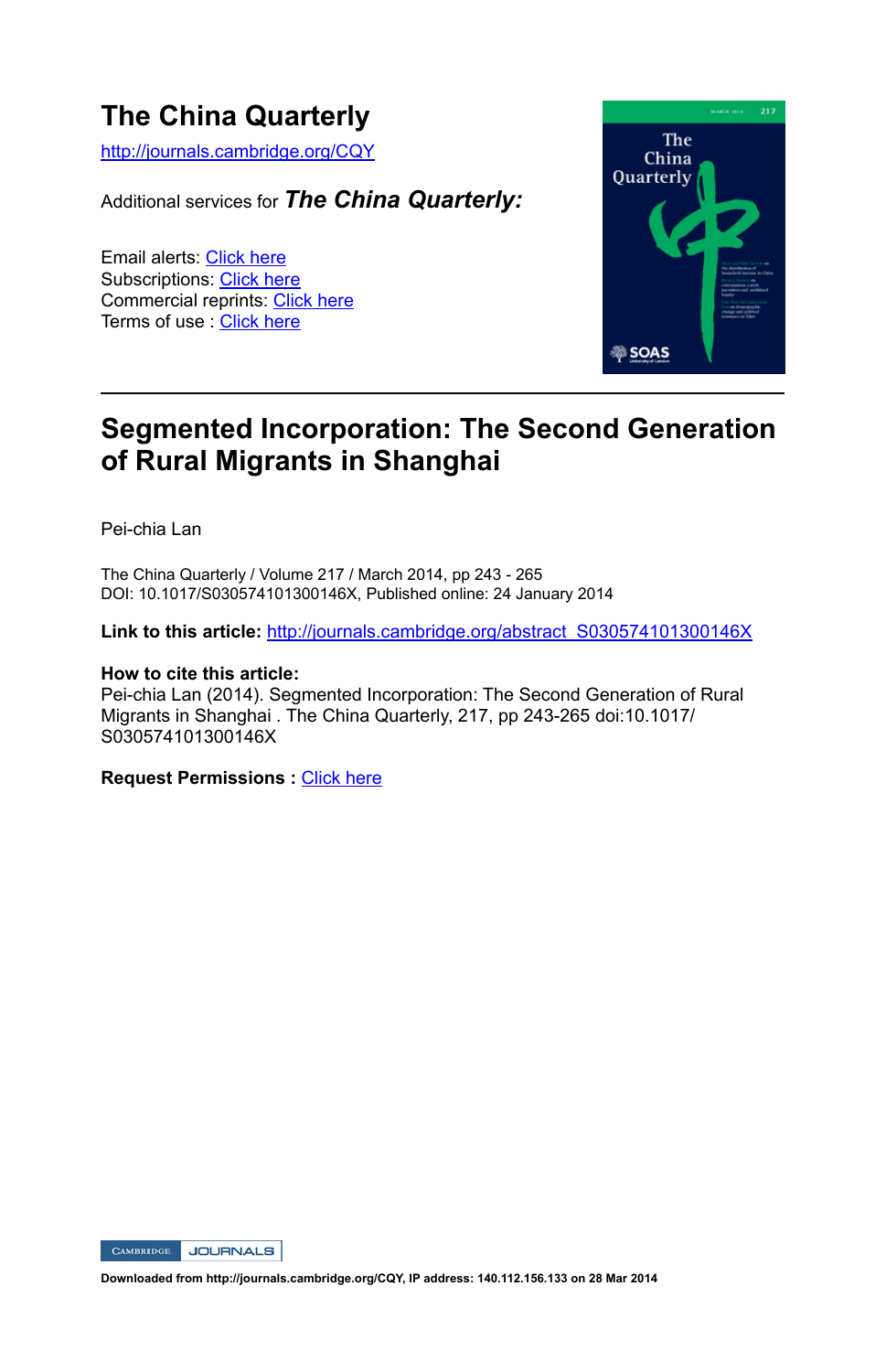# **The China Quarterly**

http://journals.cambridge.org/CQY

Additional services for *The China Quarterly:*

Email alerts: Click here Subscriptions: Click here Commercial reprints: Click here Terms of use : Click here



# **Segmented Incorporation: The Second Generation of Rural Migrants in Shanghai**

Pei-chia Lan

The China Quarterly / Volume 217 / March 2014, pp 243 - 265 DOI: 10.1017/S030574101300146X, Published online: 24 January 2014

**Link to this article:** http://journals.cambridge.org/abstract\_S030574101300146X

#### **How to cite this article:**

Pei-chia Lan (2014). Segmented Incorporation: The Second Generation of Rural Migrants in Shanghai . The China Quarterly, 217, pp 243-265 doi:10.1017/ S030574101300146X

#### **Request Permissions : Click here**



**Downloaded from http://journals.cambridge.org/CQY, IP address: 140.112.156.133 on 28 Mar 2014**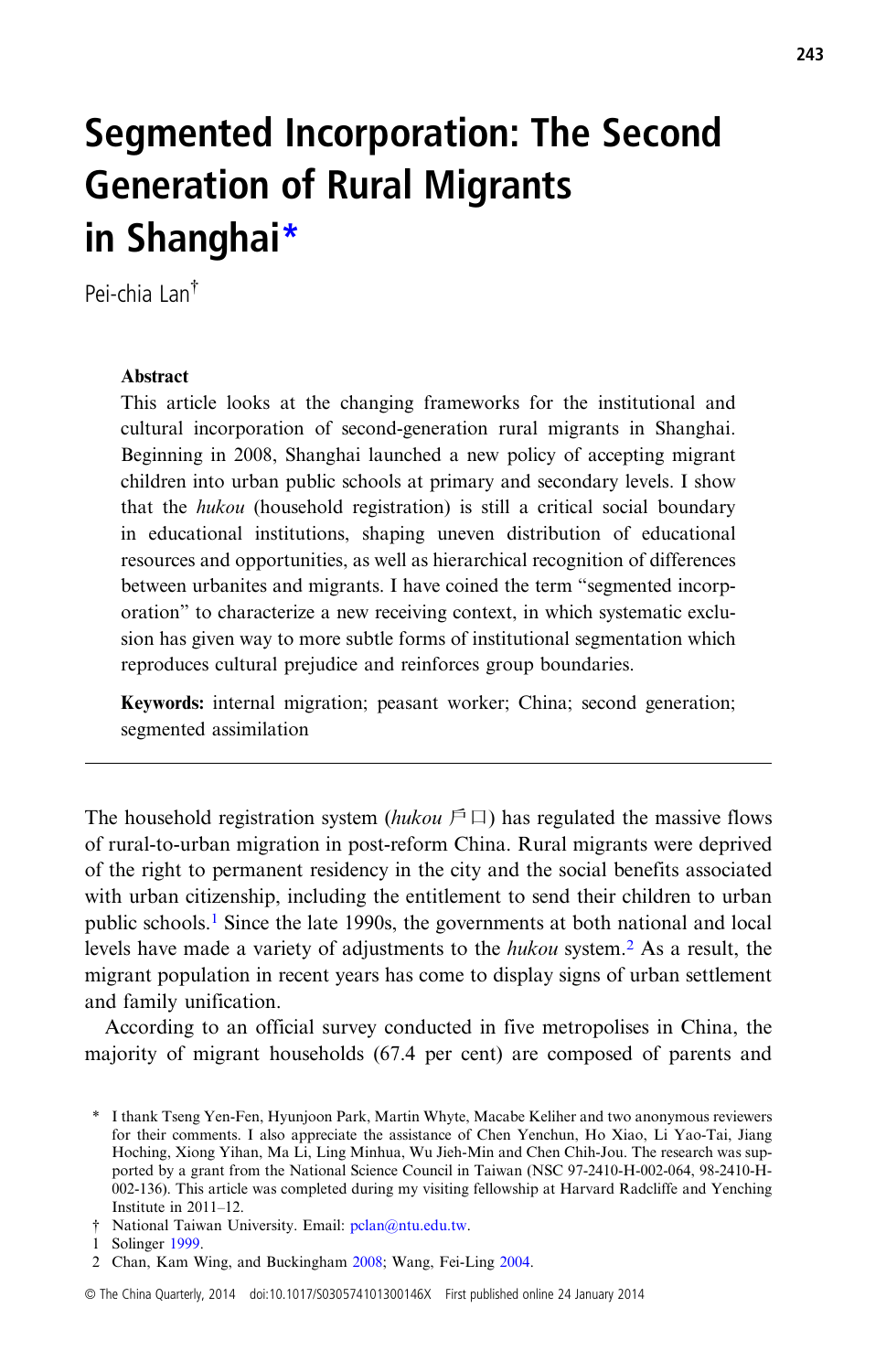# Segmented Incorporation: The Second Generation of Rural Migrants in Shanghai\*

Pei-chia Lan†

#### Abstract

This article looks at the changing frameworks for the institutional and cultural incorporation of second-generation rural migrants in Shanghai. Beginning in 2008, Shanghai launched a new policy of accepting migrant children into urban public schools at primary and secondary levels. I show that the hukou (household registration) is still a critical social boundary in educational institutions, shaping uneven distribution of educational resources and opportunities, as well as hierarchical recognition of differences between urbanites and migrants. I have coined the term "segmented incorporation" to characterize a new receiving context, in which systematic exclusion has given way to more subtle forms of institutional segmentation which reproduces cultural prejudice and reinforces group boundaries.

Keywords: internal migration; peasant worker; China; second generation; segmented assimilation

The household registration system (hukou  $\Box$ ) has regulated the massive flows of rural-to-urban migration in post-reform China. Rural migrants were deprived of the right to permanent residency in the city and the social benefits associated with urban citizenship, including the entitlement to send their children to urban public schools.<sup>1</sup> Since the late 1990s, the governments at both national and local levels have made a variety of adjustments to the *hukou* system.<sup>2</sup> As a result, the migrant population in recent years has come to display signs of urban settlement and family unification.

According to an official survey conducted in five metropolises in China, the majority of migrant households (67.4 per cent) are composed of parents and

<sup>\*</sup> I thank Tseng Yen-Fen, Hyunjoon Park, Martin Whyte, Macabe Keliher and two anonymous reviewers for their comments. I also appreciate the assistance of Chen Yenchun, Ho Xiao, Li Yao-Tai, Jiang Hoching, Xiong Yihan, Ma Li, Ling Minhua, Wu Jieh-Min and Chen Chih-Jou. The research was supported by a grant from the National Science Council in Taiwan (NSC 97-2410-H-002-064, 98-2410-H-002-136). This article was completed during my visiting fellowship at Harvard Radcliffe and Yenching Institute in 2011–12.

<sup>†</sup> National Taiwan University. Email: [pclan@ntu.edu.tw.](mailto:pclan@ntu.edu.tw)

<sup>1</sup> Solinger [1999](#page-22-0).

<sup>2</sup> Chan, Kam Wing, and Buckingham [2008;](#page-22-0) Wang, Fei-Ling [2004.](#page-22-0)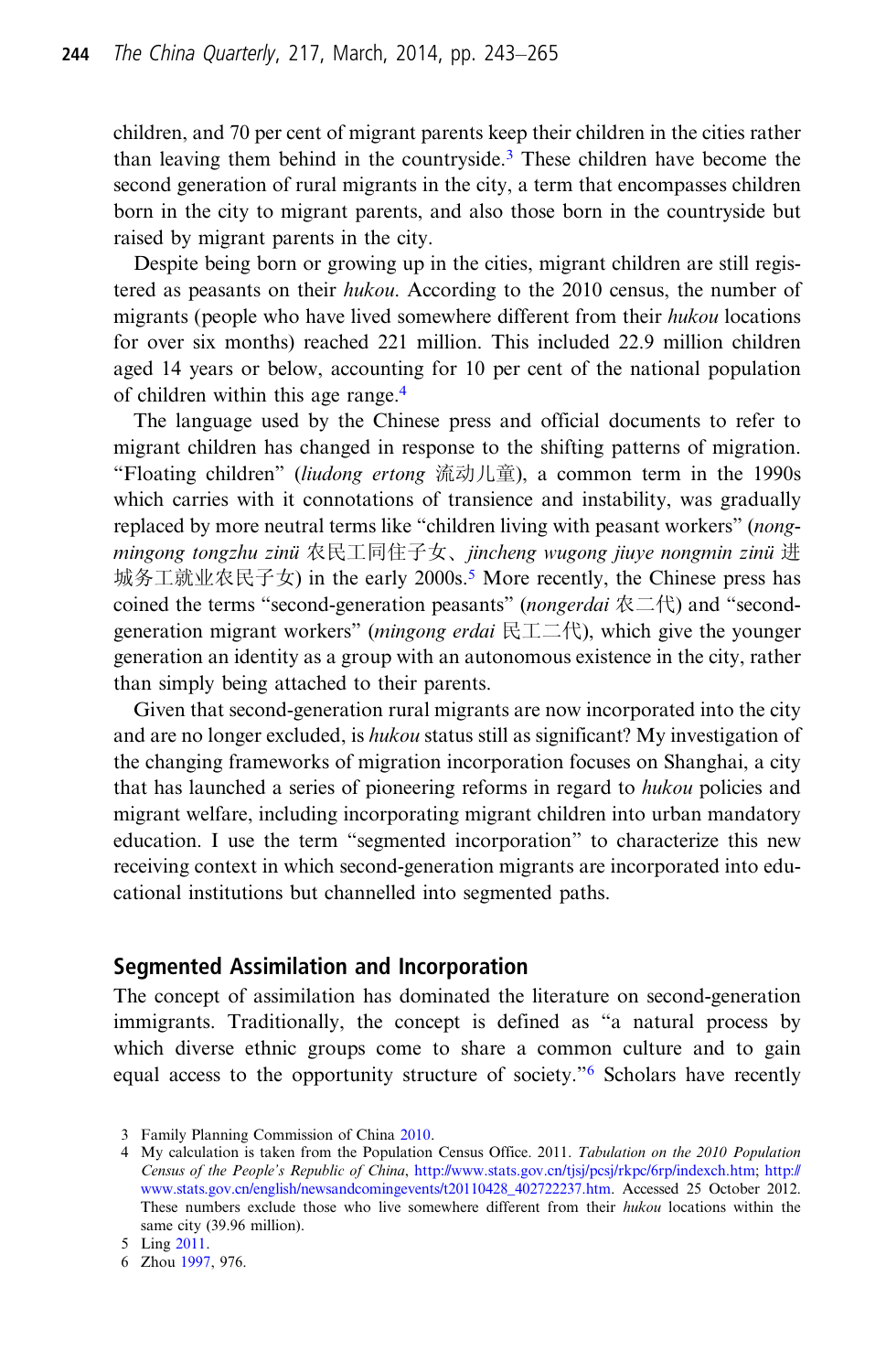children, and 70 per cent of migrant parents keep their children in the cities rather than leaving them behind in the countryside.3 These children have become the second generation of rural migrants in the city, a term that encompasses children born in the city to migrant parents, and also those born in the countryside but raised by migrant parents in the city.

Despite being born or growing up in the cities, migrant children are still registered as peasants on their hukou. According to the 2010 census, the number of migrants (people who have lived somewhere different from their hukou locations for over six months) reached 221 million. This included 22.9 million children aged 14 years or below, accounting for 10 per cent of the national population of children within this age range.4

The language used by the Chinese press and official documents to refer to migrant children has changed in response to the shifting patterns of migration. "Floating children" (liudong ertong 流动儿童), a common term in the 1990s which carries with it connotations of transience and instability, was gradually replaced by more neutral terms like "children living with peasant workers" (nongmingong tongzhu zinü 农民工同住子女、jincheng wugong jiuye nongmin zinü 进 城务工就业农民子女) in the early 2000s.5 More recently, the Chinese press has coined the terms "second-generation peasants" (*nongerdai*  $R = \pm 1$ ) and "secondgeneration migrant workers" (mingong erdai 民工二代), which give the younger generation an identity as a group with an autonomous existence in the city, rather than simply being attached to their parents.

Given that second-generation rural migrants are now incorporated into the city and are no longer excluded, is hukou status still as significant? My investigation of the changing frameworks of migration incorporation focuses on Shanghai, a city that has launched a series of pioneering reforms in regard to hukou policies and migrant welfare, including incorporating migrant children into urban mandatory education. I use the term "segmented incorporation" to characterize this new receiving context in which second-generation migrants are incorporated into educational institutions but channelled into segmented paths.

#### Segmented Assimilation and Incorporation

The concept of assimilation has dominated the literature on second-generation immigrants. Traditionally, the concept is defined as "a natural process by which diverse ethnic groups come to share a common culture and to gain equal access to the opportunity structure of society."<sup>6</sup> Scholars have recently

<sup>3</sup> Family Planning Commission of China [2010.](#page-22-0)

<sup>4</sup> My calculation is taken from the Population Census Office. 2011. Tabulation on the 2010 Population Census of the People's Republic of China, [http://www.stats.gov.cn/tjsj/pcsj/rkpc/6rp/indexch.htm;](http://www.stats.gov.cn/tjsj/pcsj/rkpc/6rp/indexch.htm) [http://](http://www.stats.gov.cn/english/newsandcomingevents/t20110428_402722237.htm) [www.stats.gov.cn/english/newsandcomingevents/t20110428\\_402722237.htm.](http://www.stats.gov.cn/english/newsandcomingevents/t20110428_402722237.htm) Accessed 25 October 2012. These numbers exclude those who live somewhere different from their *hukou* locations within the same city (39.96 million).

<sup>5</sup> Ling [2011](#page-22-0).

<sup>6</sup> Zhou [1997,](#page-23-0) 976.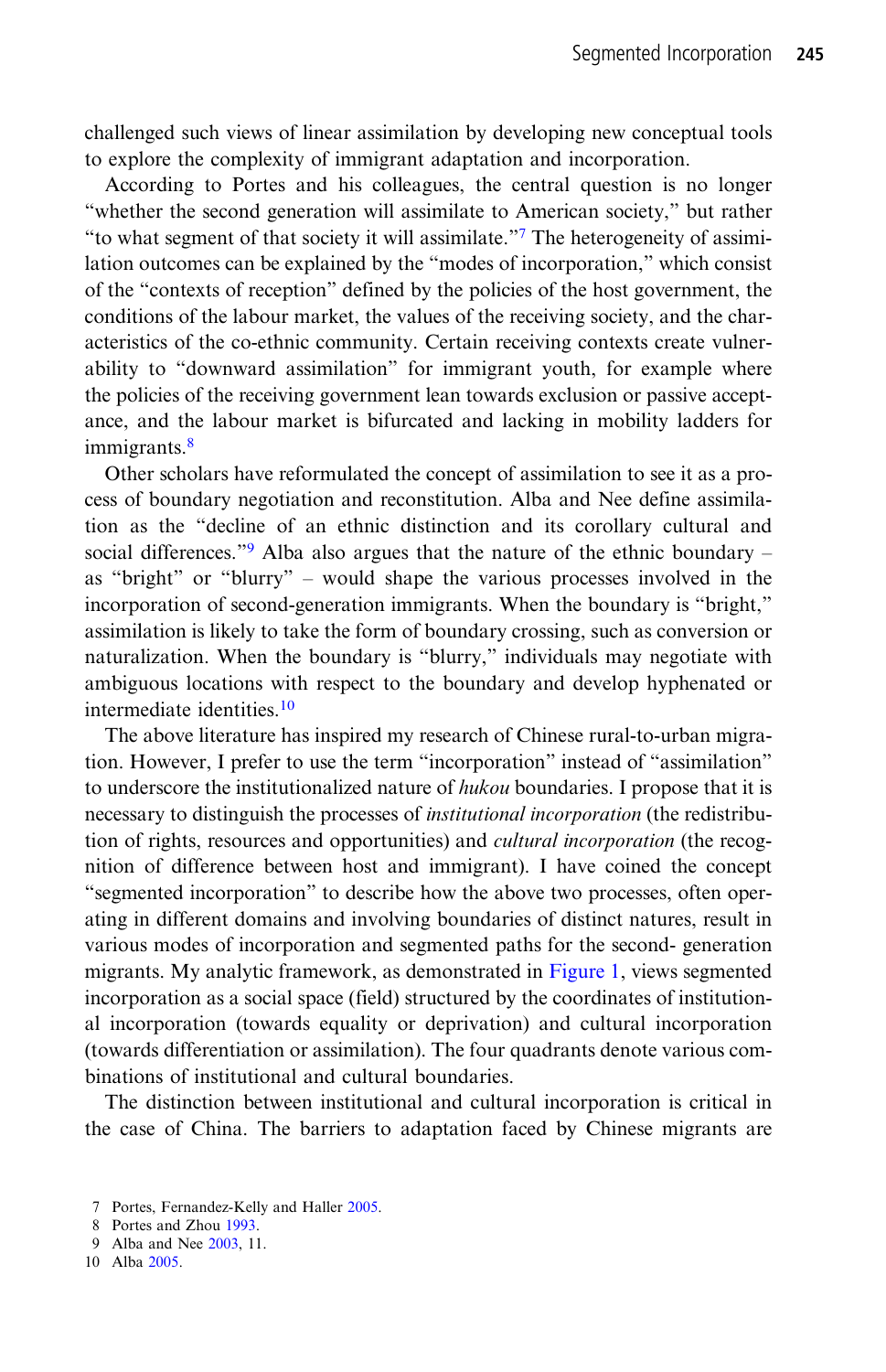challenged such views of linear assimilation by developing new conceptual tools to explore the complexity of immigrant adaptation and incorporation.

According to Portes and his colleagues, the central question is no longer "whether the second generation will assimilate to American society," but rather "to what segment of that society it will assimilate."<sup>7</sup> The heterogeneity of assimilation outcomes can be explained by the "modes of incorporation," which consist of the "contexts of reception" defined by the policies of the host government, the conditions of the labour market, the values of the receiving society, and the characteristics of the co-ethnic community. Certain receiving contexts create vulnerability to "downward assimilation" for immigrant youth, for example where the policies of the receiving government lean towards exclusion or passive acceptance, and the labour market is bifurcated and lacking in mobility ladders for immigrants.<sup>8</sup>

Other scholars have reformulated the concept of assimilation to see it as a process of boundary negotiation and reconstitution. Alba and Nee define assimilation as the "decline of an ethnic distinction and its corollary cultural and social differences."<sup>9</sup> Alba also argues that the nature of the ethnic boundary – as "bright" or "blurry" – would shape the various processes involved in the incorporation of second-generation immigrants. When the boundary is "bright," assimilation is likely to take the form of boundary crossing, such as conversion or naturalization. When the boundary is "blurry," individuals may negotiate with ambiguous locations with respect to the boundary and develop hyphenated or intermediate identities.<sup>10</sup>

The above literature has inspired my research of Chinese rural-to-urban migration. However, I prefer to use the term "incorporation" instead of "assimilation" to underscore the institutionalized nature of hukou boundaries. I propose that it is necessary to distinguish the processes of institutional incorporation (the redistribution of rights, resources and opportunities) and *cultural incorporation* (the recognition of difference between host and immigrant). I have coined the concept "segmented incorporation" to describe how the above two processes, often operating in different domains and involving boundaries of distinct natures, result in various modes of incorporation and segmented paths for the second- generation migrants. My analytic framework, as demonstrated in [Figure 1,](#page-4-0) views segmented incorporation as a social space (field) structured by the coordinates of institutional incorporation (towards equality or deprivation) and cultural incorporation (towards differentiation or assimilation). The four quadrants denote various combinations of institutional and cultural boundaries.

The distinction between institutional and cultural incorporation is critical in the case of China. The barriers to adaptation faced by Chinese migrants are

<sup>7</sup> Portes, Fernandez-Kelly and Haller [2005](#page-22-0).

<sup>8</sup> Portes and Zhou [1993.](#page-22-0)

<sup>9</sup> Alba and Nee [2003](#page-21-0), 11.

<sup>10</sup> Alba [2005.](#page-21-0)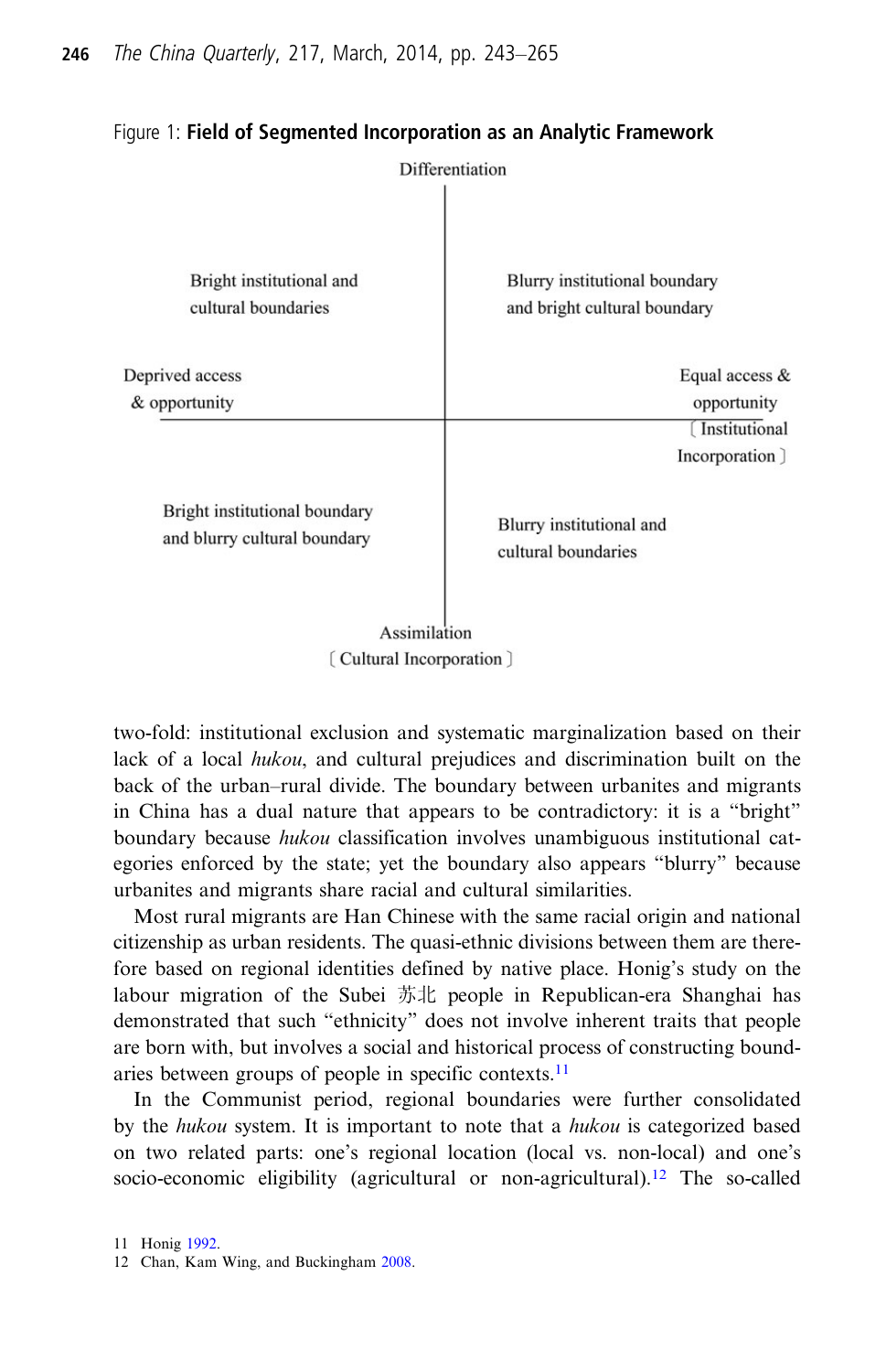

#### <span id="page-4-0"></span>Figure 1: Field of Segmented Incorporation as an Analytic Framework

[Cultural Incorporation]

two-fold: institutional exclusion and systematic marginalization based on their lack of a local hukou, and cultural prejudices and discrimination built on the back of the urban–rural divide. The boundary between urbanites and migrants in China has a dual nature that appears to be contradictory: it is a "bright" boundary because hukou classification involves unambiguous institutional categories enforced by the state; yet the boundary also appears "blurry" because urbanites and migrants share racial and cultural similarities.

Most rural migrants are Han Chinese with the same racial origin and national citizenship as urban residents. The quasi-ethnic divisions between them are therefore based on regional identities defined by native place. Honig's study on the labour migration of the Subei 苏北 people in Republican-era Shanghai has demonstrated that such "ethnicity" does not involve inherent traits that people are born with, but involves a social and historical process of constructing boundaries between groups of people in specific contexts.11

In the Communist period, regional boundaries were further consolidated by the hukou system. It is important to note that a hukou is categorized based on two related parts: one's regional location (local vs. non-local) and one's socio-economic eligibility (agricultural or non-agricultural).<sup>12</sup> The so-called

11 Honig [1992](#page-22-0).

<sup>12</sup> Chan, Kam Wing, and Buckingham [2008](#page-22-0).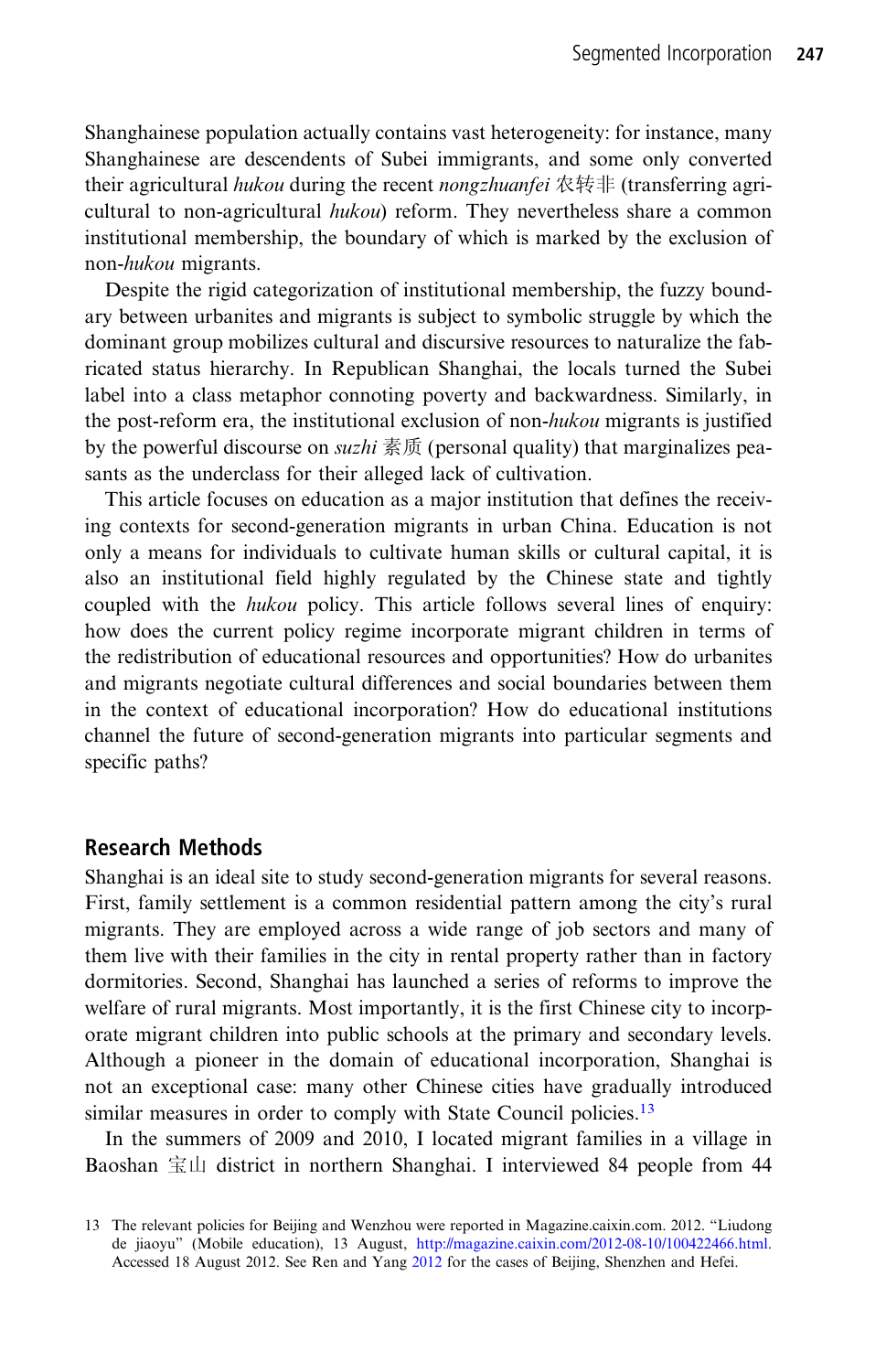Shanghainese population actually contains vast heterogeneity: for instance, many Shanghainese are descendents of Subei immigrants, and some only converted their agricultural hukou during the recent nongzhuanfei 农转非 (transferring agricultural to non-agricultural hukou) reform. They nevertheless share a common institutional membership, the boundary of which is marked by the exclusion of non-hukou migrants.

Despite the rigid categorization of institutional membership, the fuzzy boundary between urbanites and migrants is subject to symbolic struggle by which the dominant group mobilizes cultural and discursive resources to naturalize the fabricated status hierarchy. In Republican Shanghai, the locals turned the Subei label into a class metaphor connoting poverty and backwardness. Similarly, in the post-reform era, the institutional exclusion of non-*hukou* migrants is justified by the powerful discourse on *suzhi* 素质 (personal quality) that marginalizes peasants as the underclass for their alleged lack of cultivation.

This article focuses on education as a major institution that defines the receiving contexts for second-generation migrants in urban China. Education is not only a means for individuals to cultivate human skills or cultural capital, it is also an institutional field highly regulated by the Chinese state and tightly coupled with the hukou policy. This article follows several lines of enquiry: how does the current policy regime incorporate migrant children in terms of the redistribution of educational resources and opportunities? How do urbanites and migrants negotiate cultural differences and social boundaries between them in the context of educational incorporation? How do educational institutions channel the future of second-generation migrants into particular segments and specific paths?

# Research Methods

Shanghai is an ideal site to study second-generation migrants for several reasons. First, family settlement is a common residential pattern among the city's rural migrants. They are employed across a wide range of job sectors and many of them live with their families in the city in rental property rather than in factory dormitories. Second, Shanghai has launched a series of reforms to improve the welfare of rural migrants. Most importantly, it is the first Chinese city to incorporate migrant children into public schools at the primary and secondary levels. Although a pioneer in the domain of educational incorporation, Shanghai is not an exceptional case: many other Chinese cities have gradually introduced similar measures in order to comply with State Council policies.<sup>13</sup>

In the summers of 2009 and 2010, I located migrant families in a village in Baoshan 宝山 district in northern Shanghai. I interviewed 84 people from 44

<sup>13</sup> The relevant policies for Beijing and Wenzhou were reported in Magazine.caixin.com. 2012. "Liudong de jiaoyu" (Mobile education), 13 August, [http://magazine.caixin.com/2012-08-10/100422466.html.](http://magazine.caixin.com/2012-08-10/100422466.html) Accessed 18 August 2012. See Ren and Yang [2012](#page-22-0) for the cases of Beijing, Shenzhen and Hefei.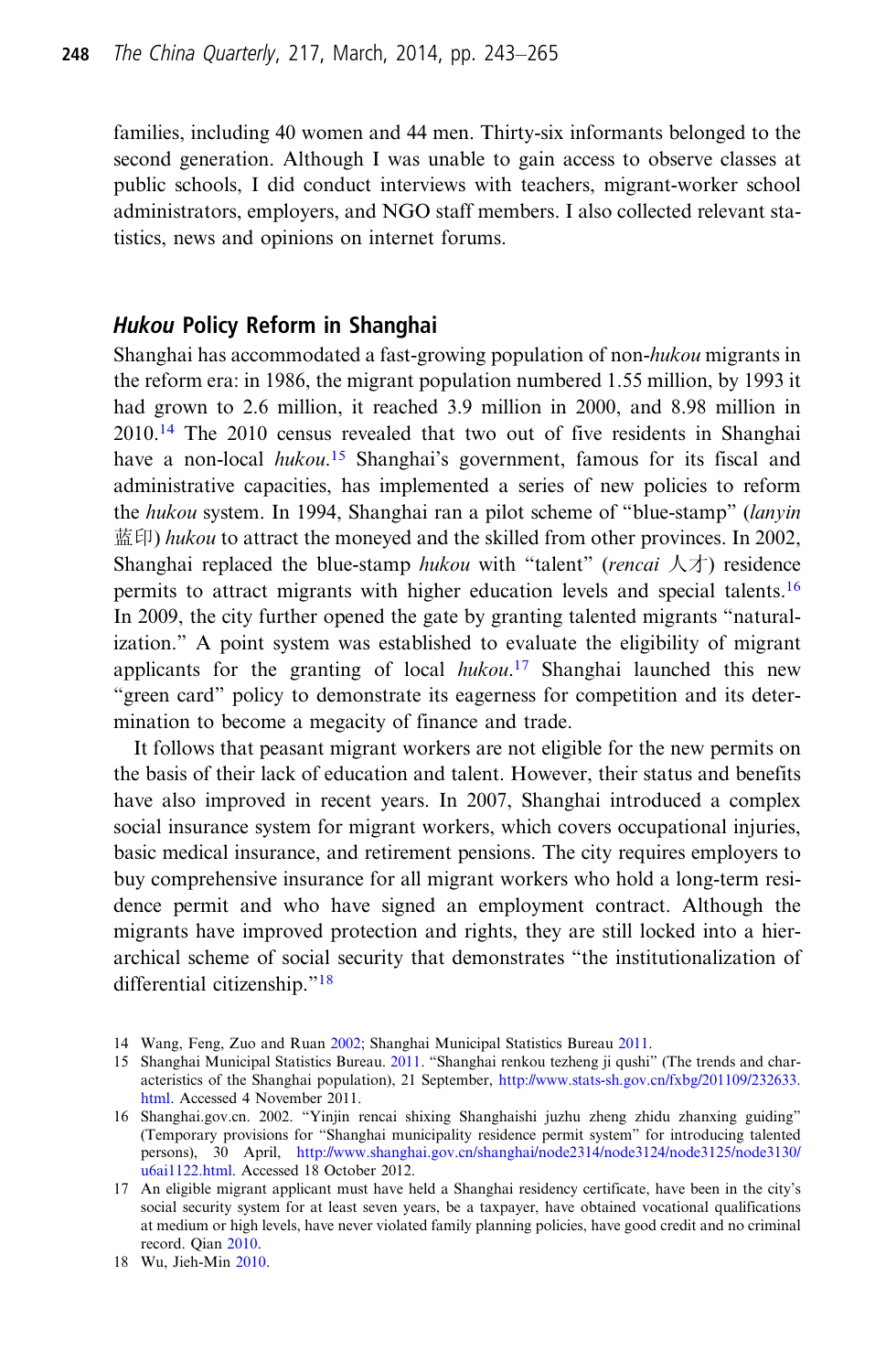families, including 40 women and 44 men. Thirty-six informants belonged to the second generation. Although I was unable to gain access to observe classes at public schools, I did conduct interviews with teachers, migrant-worker school administrators, employers, and NGO staff members. I also collected relevant statistics, news and opinions on internet forums.

# Hukou Policy Reform in Shanghai

Shanghai has accommodated a fast-growing population of non-hukou migrants in the reform era: in 1986, the migrant population numbered 1.55 million, by 1993 it had grown to 2.6 million, it reached 3.9 million in 2000, and 8.98 million in 2010.<sup>14</sup> The 2010 census revealed that two out of five residents in Shanghai have a non-local hukou.<sup>15</sup> Shanghai's government, famous for its fiscal and administrative capacities, has implemented a series of new policies to reform the hukou system. In 1994, Shanghai ran a pilot scheme of "blue-stamp" (lanyin 蓝印) hukou to attract the moneyed and the skilled from other provinces. In 2002, Shanghai replaced the blue-stamp *hukou* with "talent" (*rencai*  $\lambda$  $\bar{x}$ ) residence permits to attract migrants with higher education levels and special talents.16 In 2009, the city further opened the gate by granting talented migrants "naturalization." A point system was established to evaluate the eligibility of migrant applicants for the granting of local hukou.<sup>17</sup> Shanghai launched this new "green card" policy to demonstrate its eagerness for competition and its determination to become a megacity of finance and trade.

It follows that peasant migrant workers are not eligible for the new permits on the basis of their lack of education and talent. However, their status and benefits have also improved in recent years. In 2007, Shanghai introduced a complex social insurance system for migrant workers, which covers occupational injuries, basic medical insurance, and retirement pensions. The city requires employers to buy comprehensive insurance for all migrant workers who hold a long-term residence permit and who have signed an employment contract. Although the migrants have improved protection and rights, they are still locked into a hierarchical scheme of social security that demonstrates "the institutionalization of differential citizenship."<sup>18</sup>

<sup>14</sup> Wang, Feng, Zuo and Ruan [2002](#page-23-0); Shanghai Municipal Statistics Bureau [2011.](#page-22-0)

<sup>15</sup> Shanghai Municipal Statistics Bureau. [2011.](#page-22-0) "Shanghai renkou tezheng ji qushi" (The trends and characteristics of the Shanghai population), 21 September, [http://www.stats-sh.gov.cn/fxbg/201109/232633.](http://www.stats-sh.gov.cn/fxbg/201109/232633.html) [html.](http://www.stats-sh.gov.cn/fxbg/201109/232633.html) Accessed 4 November 2011.

<sup>16</sup> Shanghai.gov.cn. 2002. "Yinjin rencai shixing Shanghaishi juzhu zheng zhidu zhanxing guiding" (Temporary provisions for "Shanghai municipality residence permit system" for introducing talented persons), 30 April, [http://www.shanghai.gov.cn/shanghai/node2314/node3124/node3125/node3130/](http://www.shanghai.gov.cn/shanghai/node2314/node3124/node3125/node3130/u6ai1122.html) [u6ai1122.html](http://www.shanghai.gov.cn/shanghai/node2314/node3124/node3125/node3130/u6ai1122.html). Accessed 18 October 2012.

<sup>17</sup> An eligible migrant applicant must have held a Shanghai residency certificate, have been in the city's social security system for at least seven years, be a taxpayer, have obtained vocational qualifications at medium or high levels, have never violated family planning policies, have good credit and no criminal record. Qian [2010.](#page-22-0)

<sup>18</sup> Wu, Jieh-Min [2010.](#page-23-0)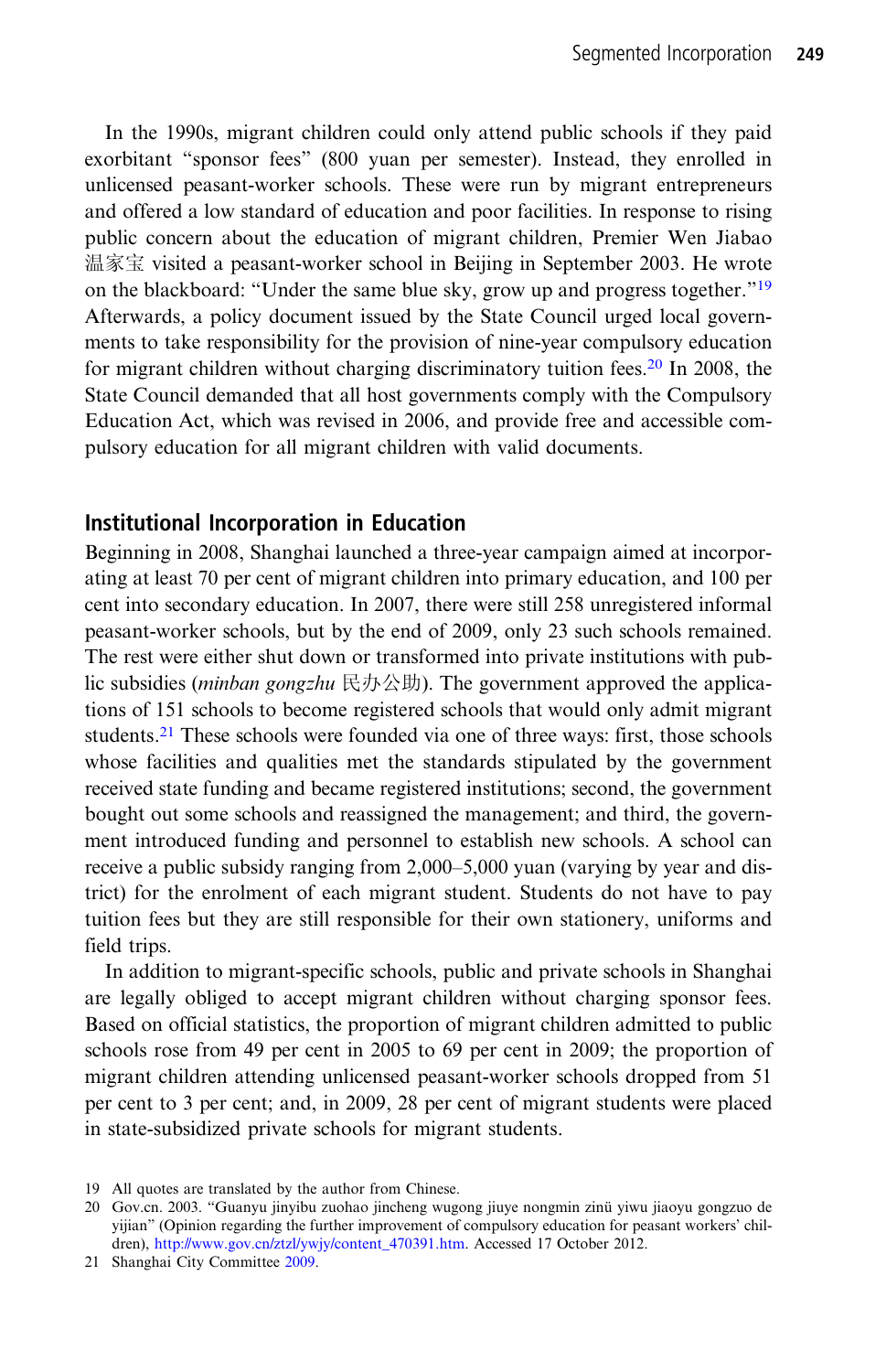In the 1990s, migrant children could only attend public schools if they paid exorbitant "sponsor fees" (800 yuan per semester). Instead, they enrolled in unlicensed peasant-worker schools. These were run by migrant entrepreneurs and offered a low standard of education and poor facilities. In response to rising public concern about the education of migrant children, Premier Wen Jiabao 温家宝 visited a peasant-worker school in Beijing in September 2003. He wrote on the blackboard: "Under the same blue sky, grow up and progress together."<sup>19</sup> Afterwards, a policy document issued by the State Council urged local governments to take responsibility for the provision of nine-year compulsory education for migrant children without charging discriminatory tuition fees.<sup>20</sup> In 2008, the State Council demanded that all host governments comply with the Compulsory Education Act, which was revised in 2006, and provide free and accessible compulsory education for all migrant children with valid documents.

# Institutional Incorporation in Education

Beginning in 2008, Shanghai launched a three-year campaign aimed at incorporating at least 70 per cent of migrant children into primary education, and 100 per cent into secondary education. In 2007, there were still 258 unregistered informal peasant-worker schools, but by the end of 2009, only 23 such schools remained. The rest were either shut down or transformed into private institutions with public subsidies (*minban gongzhu* 民办公助). The government approved the applications of 151 schools to become registered schools that would only admit migrant students.<sup>21</sup> These schools were founded via one of three ways: first, those schools whose facilities and qualities met the standards stipulated by the government received state funding and became registered institutions; second, the government bought out some schools and reassigned the management; and third, the government introduced funding and personnel to establish new schools. A school can receive a public subsidy ranging from 2,000–5,000 yuan (varying by year and district) for the enrolment of each migrant student. Students do not have to pay tuition fees but they are still responsible for their own stationery, uniforms and field trips.

In addition to migrant-specific schools, public and private schools in Shanghai are legally obliged to accept migrant children without charging sponsor fees. Based on official statistics, the proportion of migrant children admitted to public schools rose from 49 per cent in 2005 to 69 per cent in 2009; the proportion of migrant children attending unlicensed peasant-worker schools dropped from 51 per cent to 3 per cent; and, in 2009, 28 per cent of migrant students were placed in state-subsidized private schools for migrant students.

21 Shanghai City Committee [2009](#page-22-0).

<sup>19</sup> All quotes are translated by the author from Chinese.

<sup>20</sup> Gov.cn. 2003. "Guanyu jinyibu zuohao jincheng wugong jiuye nongmin zinü yiwu jiaoyu gongzuo de yijian" (Opinion regarding the further improvement of compulsory education for peasant workers' children), [http://www.gov.cn/ztzl/ywjy/content\\_470391.htm.](http://www.gov.cn/ztzl/ywjy/content_470391.htm) Accessed 17 October 2012.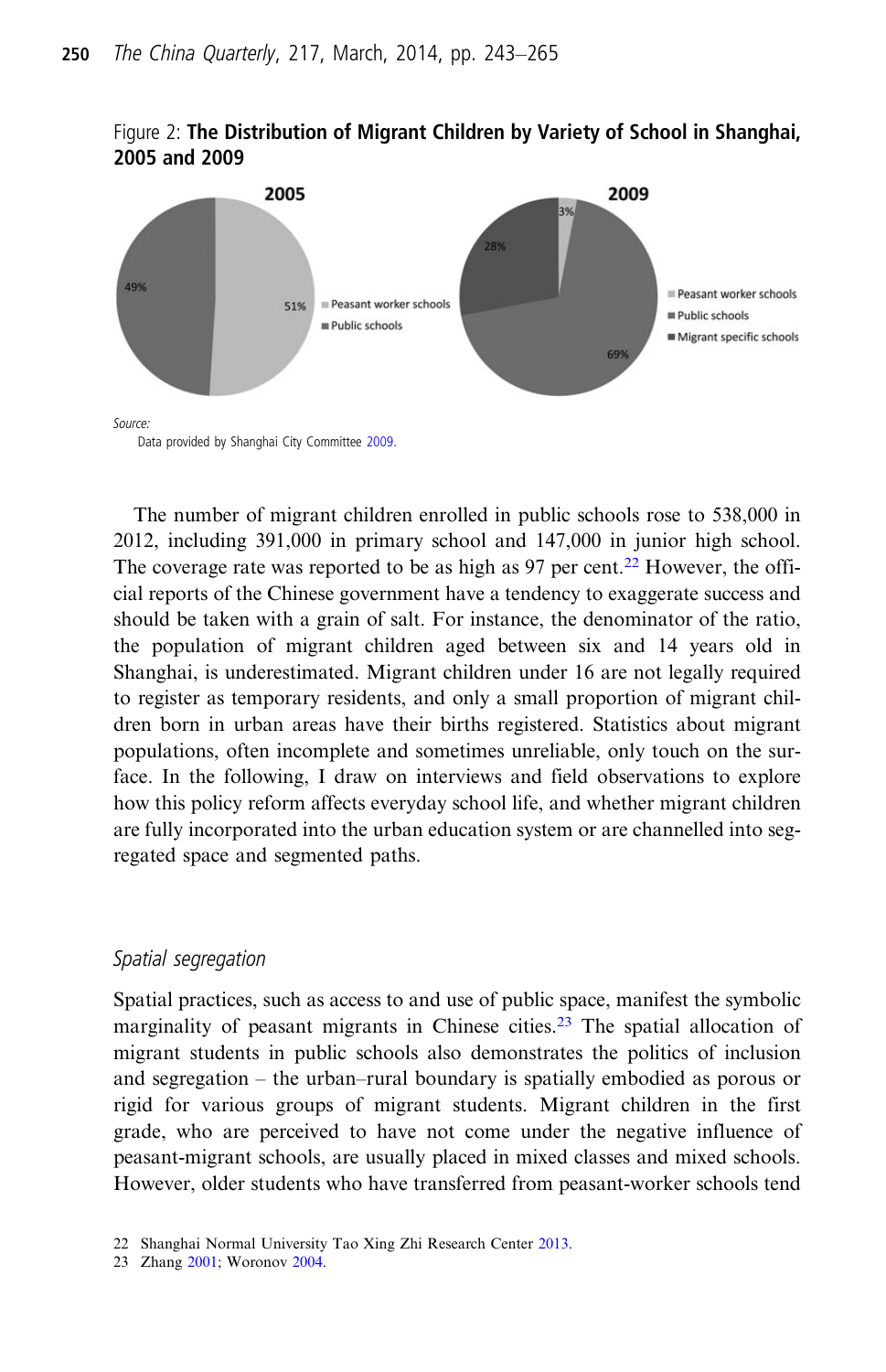



The number of migrant children enrolled in public schools rose to 538,000 in 2012, including 391,000 in primary school and 147,000 in junior high school. The coverage rate was reported to be as high as 97 per cent.<sup>22</sup> However, the official reports of the Chinese government have a tendency to exaggerate success and should be taken with a grain of salt. For instance, the denominator of the ratio, the population of migrant children aged between six and 14 years old in Shanghai, is underestimated. Migrant children under 16 are not legally required to register as temporary residents, and only a small proportion of migrant children born in urban areas have their births registered. Statistics about migrant populations, often incomplete and sometimes unreliable, only touch on the surface. In the following, I draw on interviews and field observations to explore how this policy reform affects everyday school life, and whether migrant children are fully incorporated into the urban education system or are channelled into segregated space and segmented paths.

#### Spatial segregation

Spatial practices, such as access to and use of public space, manifest the symbolic marginality of peasant migrants in Chinese cities.<sup>23</sup> The spatial allocation of migrant students in public schools also demonstrates the politics of inclusion and segregation – the urban–rural boundary is spatially embodied as porous or rigid for various groups of migrant students. Migrant children in the first grade, who are perceived to have not come under the negative influence of peasant-migrant schools, are usually placed in mixed classes and mixed schools. However, older students who have transferred from peasant-worker schools tend

<sup>22</sup> Shanghai Normal University Tao Xing Zhi Research Center [2013](#page-22-0).

<sup>23</sup> Zhang [2001;](#page-23-0) Woronov [2004](#page-23-0).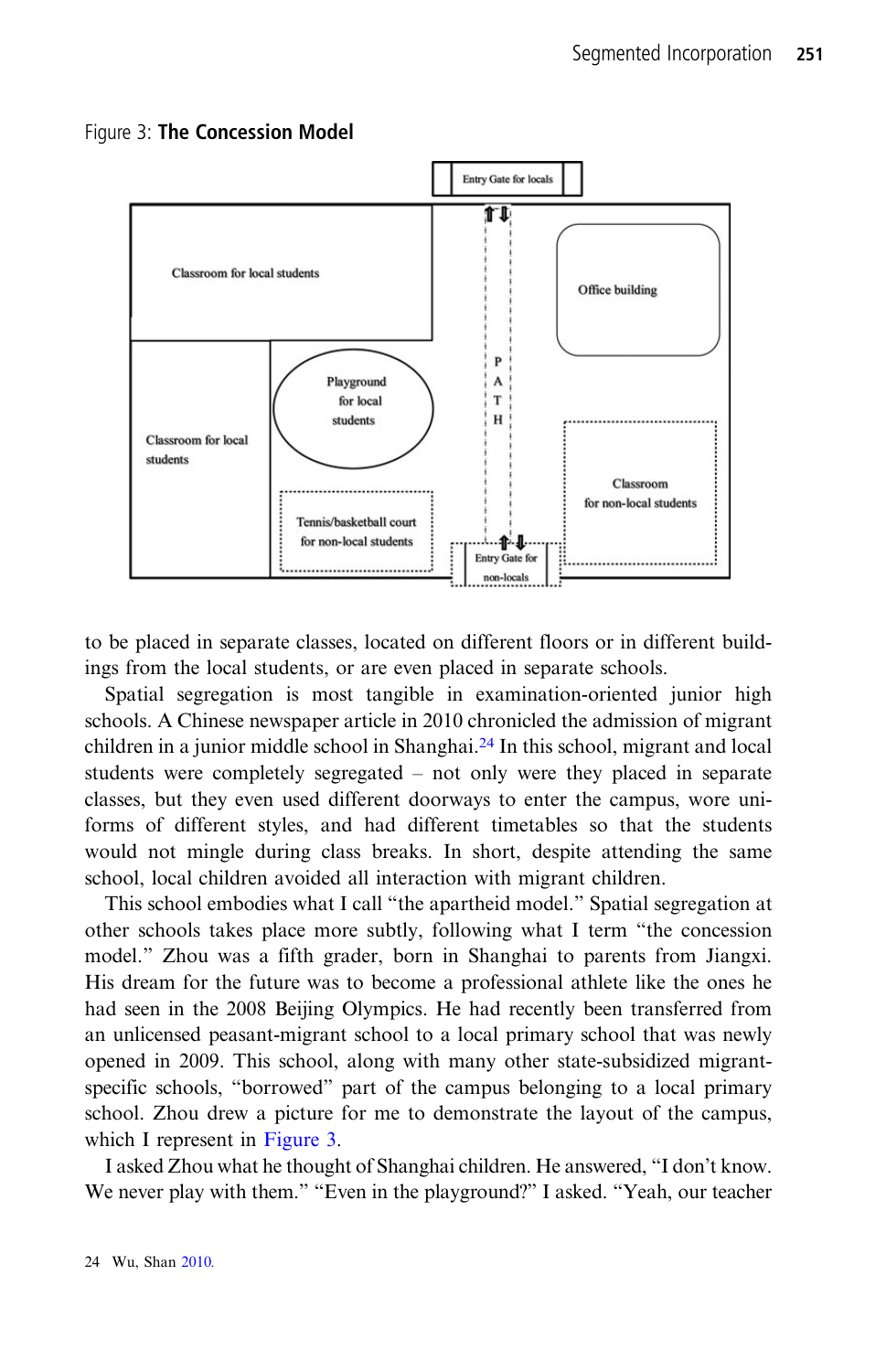

#### Figure 3: The Concession Model

to be placed in separate classes, located on different floors or in different buildings from the local students, or are even placed in separate schools.

Spatial segregation is most tangible in examination-oriented junior high schools. A Chinese newspaper article in 2010 chronicled the admission of migrant children in a junior middle school in Shanghai.<sup>24</sup> In this school, migrant and local students were completely segregated – not only were they placed in separate classes, but they even used different doorways to enter the campus, wore uniforms of different styles, and had different timetables so that the students would not mingle during class breaks. In short, despite attending the same school, local children avoided all interaction with migrant children.

This school embodies what I call "the apartheid model." Spatial segregation at other schools takes place more subtly, following what I term "the concession model." Zhou was a fifth grader, born in Shanghai to parents from Jiangxi. His dream for the future was to become a professional athlete like the ones he had seen in the 2008 Beijing Olympics. He had recently been transferred from an unlicensed peasant-migrant school to a local primary school that was newly opened in 2009. This school, along with many other state-subsidized migrantspecific schools, "borrowed" part of the campus belonging to a local primary school. Zhou drew a picture for me to demonstrate the layout of the campus, which I represent in Figure 3.

I asked Zhou what he thought of Shanghai children. He answered, "I don't know. We never play with them." "Even in the playground?" I asked. "Yeah, our teacher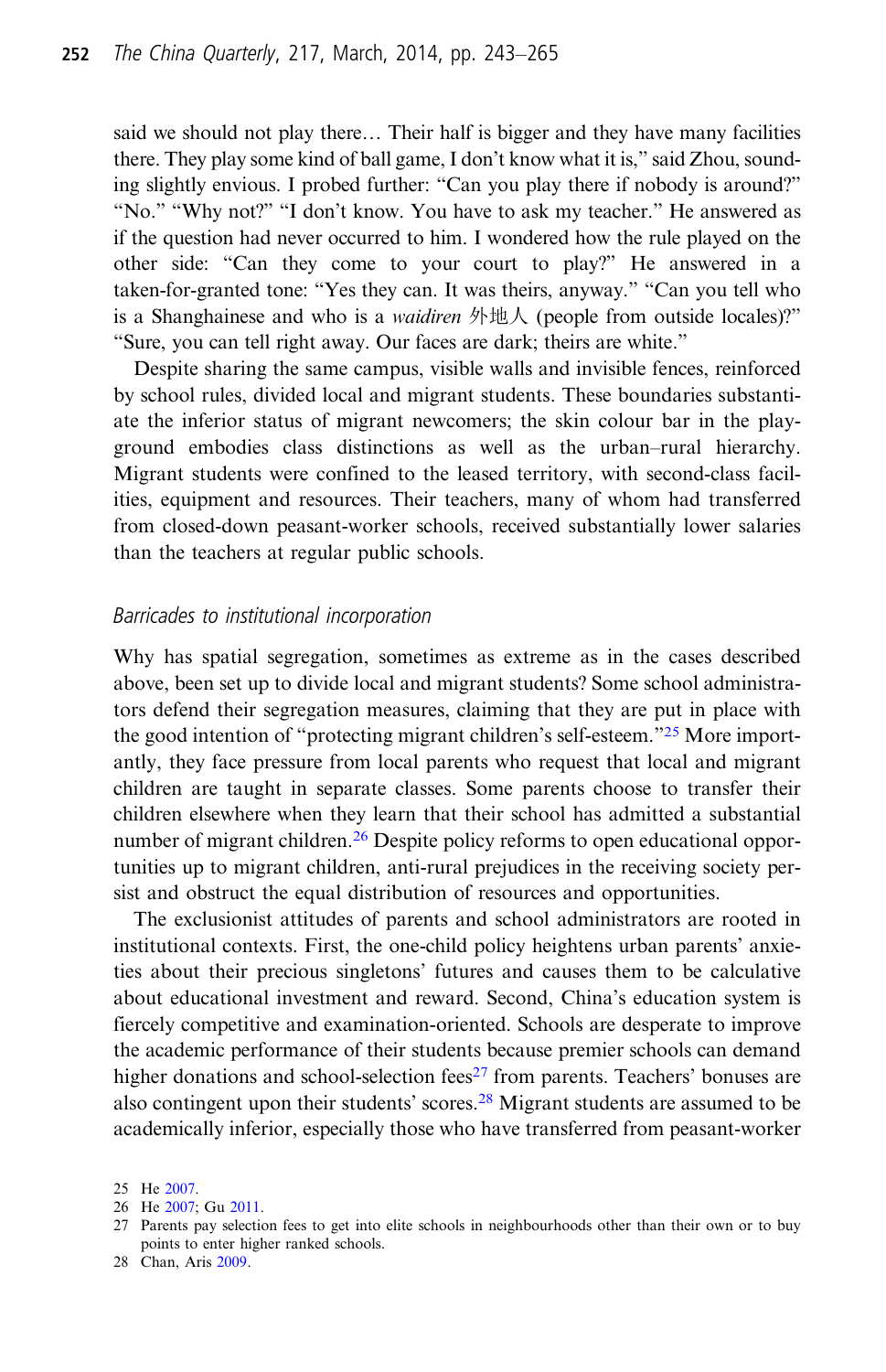said we should not play there… Their half is bigger and they have many facilities there. They play some kind of ball game, I don't know what it is," said Zhou, sounding slightly envious. I probed further: "Can you play there if nobody is around?" "No." "Why not?" "I don't know. You have to ask my teacher." He answered as if the question had never occurred to him. I wondered how the rule played on the other side: "Can they come to your court to play?" He answered in a taken-for-granted tone: "Yes they can. It was theirs, anyway." "Can you tell who is a Shanghainese and who is a *waidiren* 外地人 (people from outside locales)?" "Sure, you can tell right away. Our faces are dark; theirs are white."

Despite sharing the same campus, visible walls and invisible fences, reinforced by school rules, divided local and migrant students. These boundaries substantiate the inferior status of migrant newcomers; the skin colour bar in the playground embodies class distinctions as well as the urban–rural hierarchy. Migrant students were confined to the leased territory, with second-class facilities, equipment and resources. Their teachers, many of whom had transferred from closed-down peasant-worker schools, received substantially lower salaries than the teachers at regular public schools.

#### Barricades to institutional incorporation

Why has spatial segregation, sometimes as extreme as in the cases described above, been set up to divide local and migrant students? Some school administrators defend their segregation measures, claiming that they are put in place with the good intention of "protecting migrant children's self-esteem."<sup>25</sup> More importantly, they face pressure from local parents who request that local and migrant children are taught in separate classes. Some parents choose to transfer their children elsewhere when they learn that their school has admitted a substantial number of migrant children.<sup>26</sup> Despite policy reforms to open educational opportunities up to migrant children, anti-rural prejudices in the receiving society persist and obstruct the equal distribution of resources and opportunities.

The exclusionist attitudes of parents and school administrators are rooted in institutional contexts. First, the one-child policy heightens urban parents' anxieties about their precious singletons' futures and causes them to be calculative about educational investment and reward. Second, China's education system is fiercely competitive and examination-oriented. Schools are desperate to improve the academic performance of their students because premier schools can demand higher donations and school-selection fees<sup> $27$ </sup> from parents. Teachers' bonuses are also contingent upon their students' scores.<sup>28</sup> Migrant students are assumed to be academically inferior, especially those who have transferred from peasant-worker

<sup>25</sup> He [2007.](#page-22-0)

<sup>26</sup> He [2007;](#page-22-0) Gu [2011](#page-22-0).

<sup>27</sup> Parents pay selection fees to get into elite schools in neighbourhoods other than their own or to buy points to enter higher ranked schools.

<sup>28</sup> Chan, Aris [2009.](#page-22-0)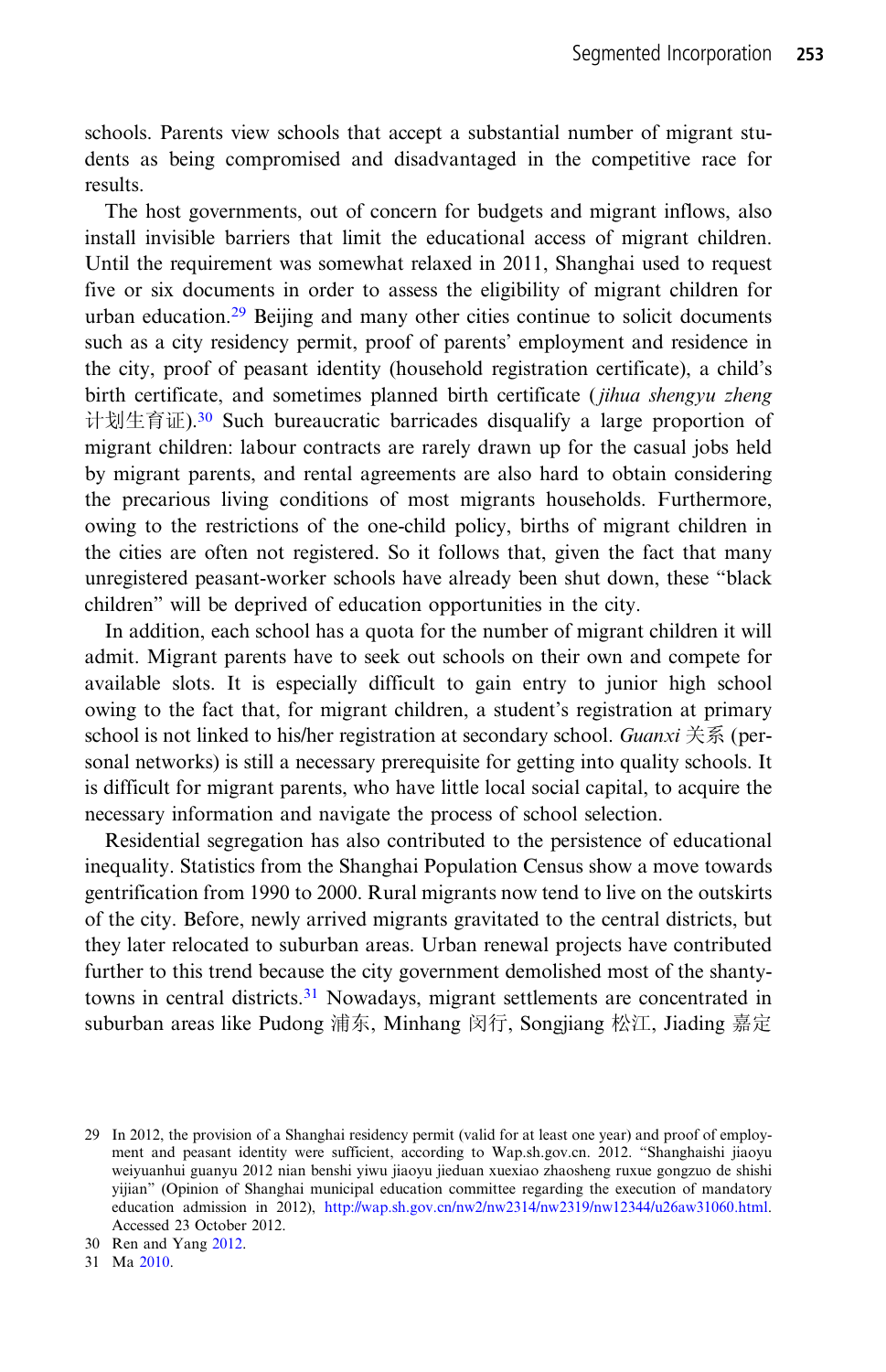schools. Parents view schools that accept a substantial number of migrant students as being compromised and disadvantaged in the competitive race for results.

The host governments, out of concern for budgets and migrant inflows, also install invisible barriers that limit the educational access of migrant children. Until the requirement was somewhat relaxed in 2011, Shanghai used to request five or six documents in order to assess the eligibility of migrant children for urban education.29 Beijing and many other cities continue to solicit documents such as a city residency permit, proof of parents' employment and residence in the city, proof of peasant identity (household registration certificate), a child's birth certificate, and sometimes planned birth certificate (*jihua shengyu zheng* 计划生育证).30 Such bureaucratic barricades disqualify a large proportion of migrant children: labour contracts are rarely drawn up for the casual jobs held by migrant parents, and rental agreements are also hard to obtain considering the precarious living conditions of most migrants households. Furthermore, owing to the restrictions of the one-child policy, births of migrant children in the cities are often not registered. So it follows that, given the fact that many unregistered peasant-worker schools have already been shut down, these "black children" will be deprived of education opportunities in the city.

In addition, each school has a quota for the number of migrant children it will admit. Migrant parents have to seek out schools on their own and compete for available slots. It is especially difficult to gain entry to junior high school owing to the fact that, for migrant children, a student's registration at primary school is not linked to his/her registration at secondary school. Guanxi  $\hat{\pm}$   $\hat{\pm}$  (personal networks) is still a necessary prerequisite for getting into quality schools. It is difficult for migrant parents, who have little local social capital, to acquire the necessary information and navigate the process of school selection.

Residential segregation has also contributed to the persistence of educational inequality. Statistics from the Shanghai Population Census show a move towards gentrification from 1990 to 2000. Rural migrants now tend to live on the outskirts of the city. Before, newly arrived migrants gravitated to the central districts, but they later relocated to suburban areas. Urban renewal projects have contributed further to this trend because the city government demolished most of the shantytowns in central districts.31 Nowadays, migrant settlements are concentrated in suburban areas like Pudong 浦东, Minhang 闵行, Songjiang 松江, Jiading 嘉定

30 Ren and Yang [2012](#page-22-0).

31 Ma [2010](#page-22-0).

<sup>29</sup> In 2012, the provision of a Shanghai residency permit (valid for at least one year) and proof of employment and peasant identity were sufficient, according to Wap.sh.gov.cn. 2012. "Shanghaishi jiaoyu weiyuanhui guanyu 2012 nian benshi yiwu jiaoyu jieduan xuexiao zhaosheng ruxue gongzuo de shishi yijian" (Opinion of Shanghai municipal education committee regarding the execution of mandatory education admission in 2012), [http://wap.sh.gov.cn/nw2/nw2314/nw2319/nw12344/u26aw31060.html.](http://wap.sh.gov.cn/nw2/nw2314/nw2319/nw12344/u26aw31060.html) Accessed 23 October 2012.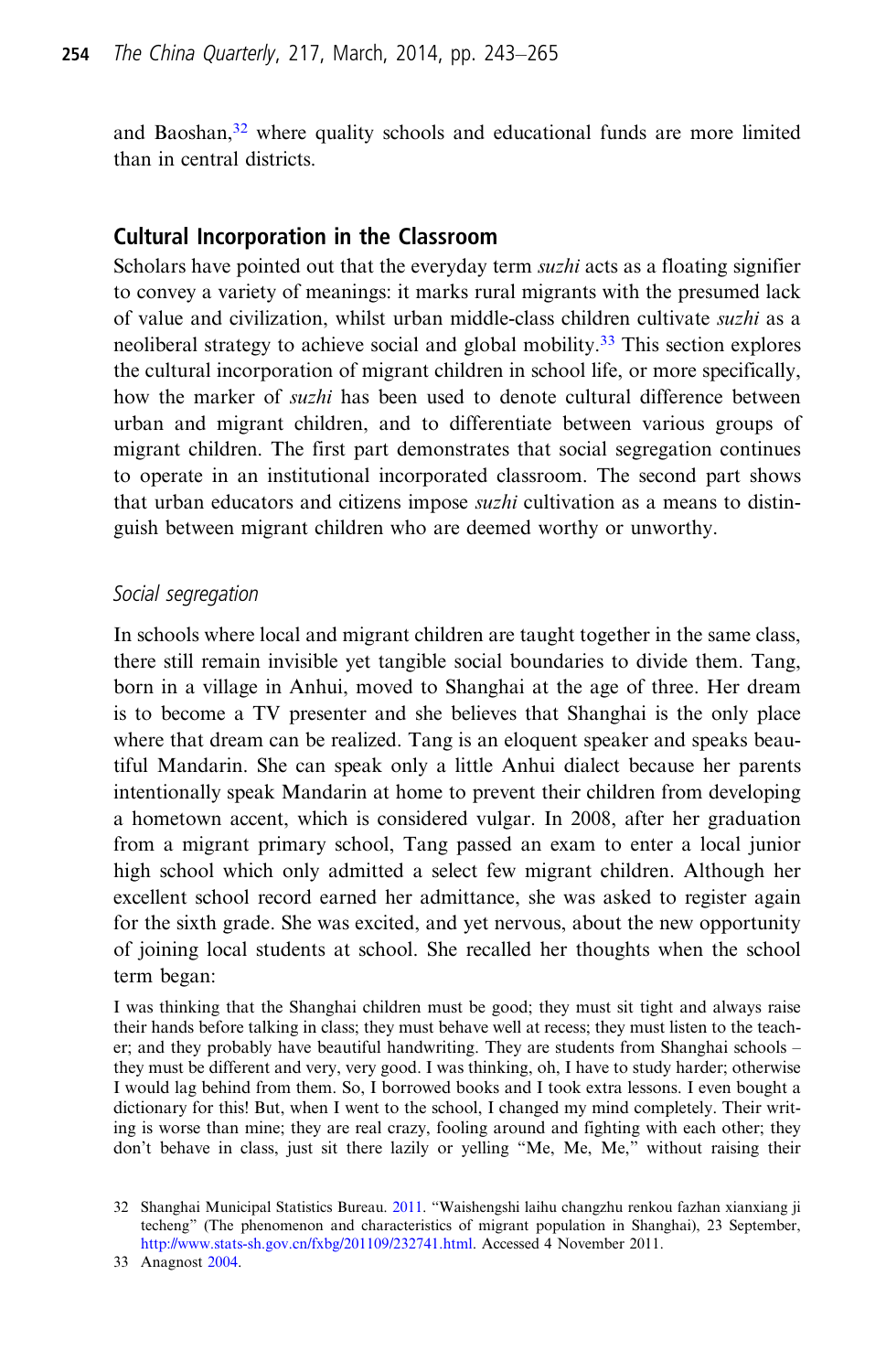and Baoshan,<sup>32</sup> where quality schools and educational funds are more limited than in central districts.

## Cultural Incorporation in the Classroom

Scholars have pointed out that the everyday term *suzhi* acts as a floating signifier to convey a variety of meanings: it marks rural migrants with the presumed lack of value and civilization, whilst urban middle-class children cultivate suzhi as a neoliberal strategy to achieve social and global mobility.33 This section explores the cultural incorporation of migrant children in school life, or more specifically, how the marker of *suzhi* has been used to denote cultural difference between urban and migrant children, and to differentiate between various groups of migrant children. The first part demonstrates that social segregation continues to operate in an institutional incorporated classroom. The second part shows that urban educators and citizens impose suzhi cultivation as a means to distinguish between migrant children who are deemed worthy or unworthy.

#### Social segregation

In schools where local and migrant children are taught together in the same class, there still remain invisible yet tangible social boundaries to divide them. Tang, born in a village in Anhui, moved to Shanghai at the age of three. Her dream is to become a TV presenter and she believes that Shanghai is the only place where that dream can be realized. Tang is an eloquent speaker and speaks beautiful Mandarin. She can speak only a little Anhui dialect because her parents intentionally speak Mandarin at home to prevent their children from developing a hometown accent, which is considered vulgar. In 2008, after her graduation from a migrant primary school, Tang passed an exam to enter a local junior high school which only admitted a select few migrant children. Although her excellent school record earned her admittance, she was asked to register again for the sixth grade. She was excited, and yet nervous, about the new opportunity of joining local students at school. She recalled her thoughts when the school term began:

I was thinking that the Shanghai children must be good; they must sit tight and always raise their hands before talking in class; they must behave well at recess; they must listen to the teacher; and they probably have beautiful handwriting. They are students from Shanghai schools – they must be different and very, very good. I was thinking, oh, I have to study harder; otherwise I would lag behind from them. So, I borrowed books and I took extra lessons. I even bought a dictionary for this! But, when I went to the school, I changed my mind completely. Their writing is worse than mine; they are real crazy, fooling around and fighting with each other; they don't behave in class, just sit there lazily or yelling "Me, Me, Me," without raising their

33 Anagnost [2004.](#page-21-0)

<sup>32</sup> Shanghai Municipal Statistics Bureau. [2011.](#page-22-0) "Waishengshi laihu changzhu renkou fazhan xianxiang ji techeng" (The phenomenon and characteristics of migrant population in Shanghai), 23 September, <http://www.stats-sh.gov.cn/fxbg/201109/232741.html>. Accessed 4 November 2011.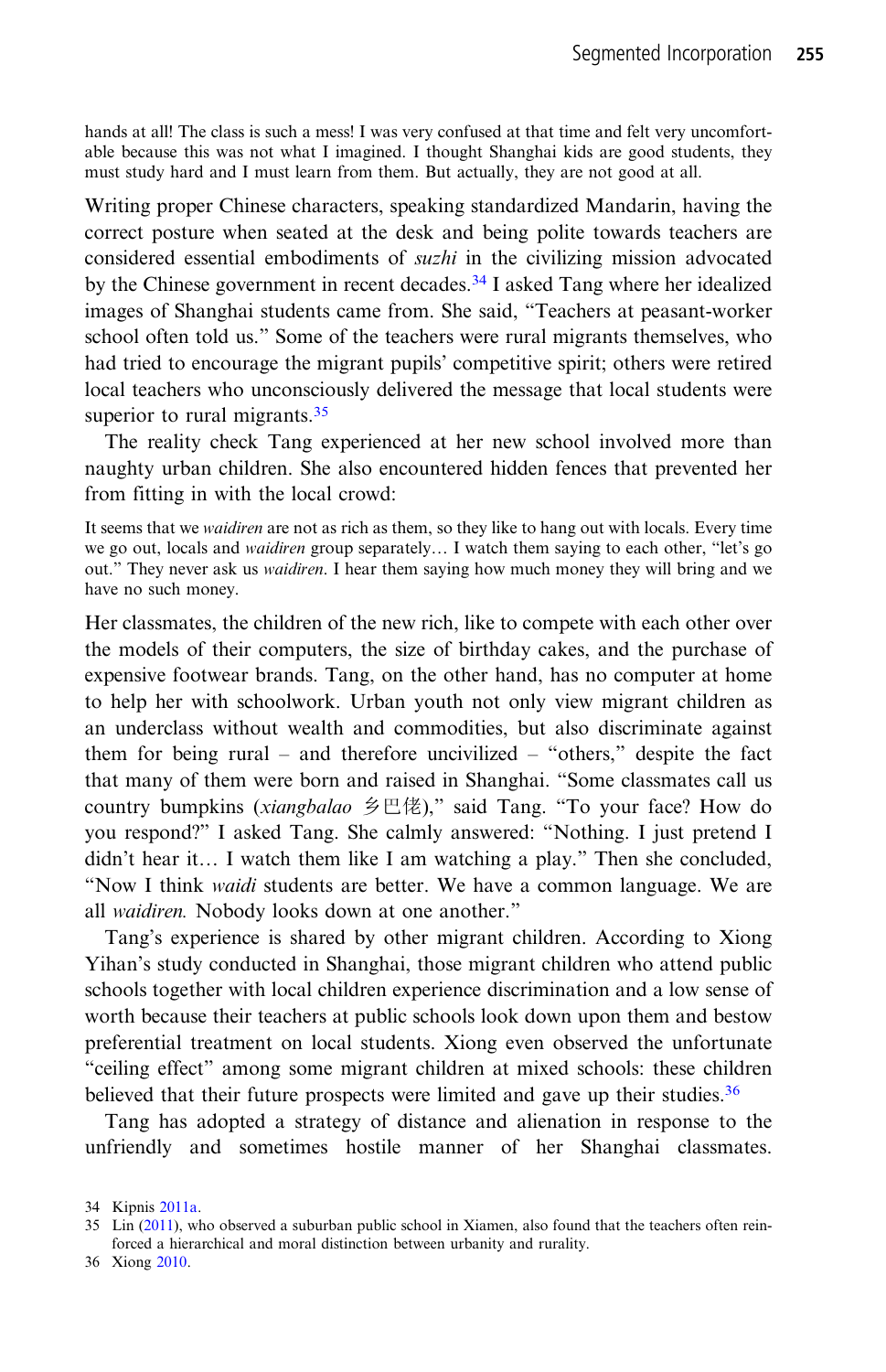hands at all! The class is such a mess! I was very confused at that time and felt very uncomfortable because this was not what I imagined. I thought Shanghai kids are good students, they must study hard and I must learn from them. But actually, they are not good at all.

Writing proper Chinese characters, speaking standardized Mandarin, having the correct posture when seated at the desk and being polite towards teachers are considered essential embodiments of suzhi in the civilizing mission advocated by the Chinese government in recent decades.<sup>34</sup> I asked Tang where her idealized images of Shanghai students came from. She said, "Teachers at peasant-worker school often told us." Some of the teachers were rural migrants themselves, who had tried to encourage the migrant pupils' competitive spirit; others were retired local teachers who unconsciously delivered the message that local students were superior to rural migrants.<sup>35</sup>

The reality check Tang experienced at her new school involved more than naughty urban children. She also encountered hidden fences that prevented her from fitting in with the local crowd:

It seems that we waidiren are not as rich as them, so they like to hang out with locals. Every time we go out, locals and *waidiren* group separately... I watch them saying to each other, "let's go out." They never ask us waidiren. I hear them saying how much money they will bring and we have no such money.

Her classmates, the children of the new rich, like to compete with each other over the models of their computers, the size of birthday cakes, and the purchase of expensive footwear brands. Tang, on the other hand, has no computer at home to help her with schoolwork. Urban youth not only view migrant children as an underclass without wealth and commodities, but also discriminate against them for being rural – and therefore uncivilized – "others," despite the fact that many of them were born and raised in Shanghai. "Some classmates call us country bumpkins (xiangbalao 乡巴佬)," said Tang. "To your face? How do you respond?" I asked Tang. She calmly answered: "Nothing. I just pretend I didn't hear it… I watch them like I am watching a play." Then she concluded, "Now I think *waidi* students are better. We have a common language. We are all waidiren. Nobody looks down at one another."

Tang's experience is shared by other migrant children. According to Xiong Yihan's study conducted in Shanghai, those migrant children who attend public schools together with local children experience discrimination and a low sense of worth because their teachers at public schools look down upon them and bestow preferential treatment on local students. Xiong even observed the unfortunate "ceiling effect" among some migrant children at mixed schools: these children believed that their future prospects were limited and gave up their studies.<sup>36</sup>

Tang has adopted a strategy of distance and alienation in response to the unfriendly and sometimes hostile manner of her Shanghai classmates.

<sup>34</sup> Kipnis [2011a.](#page-22-0)

<sup>35</sup> Lin [\(2011](#page-22-0)), who observed a suburban public school in Xiamen, also found that the teachers often reinforced a hierarchical and moral distinction between urbanity and rurality.

<sup>36</sup> Xiong [2010.](#page-23-0)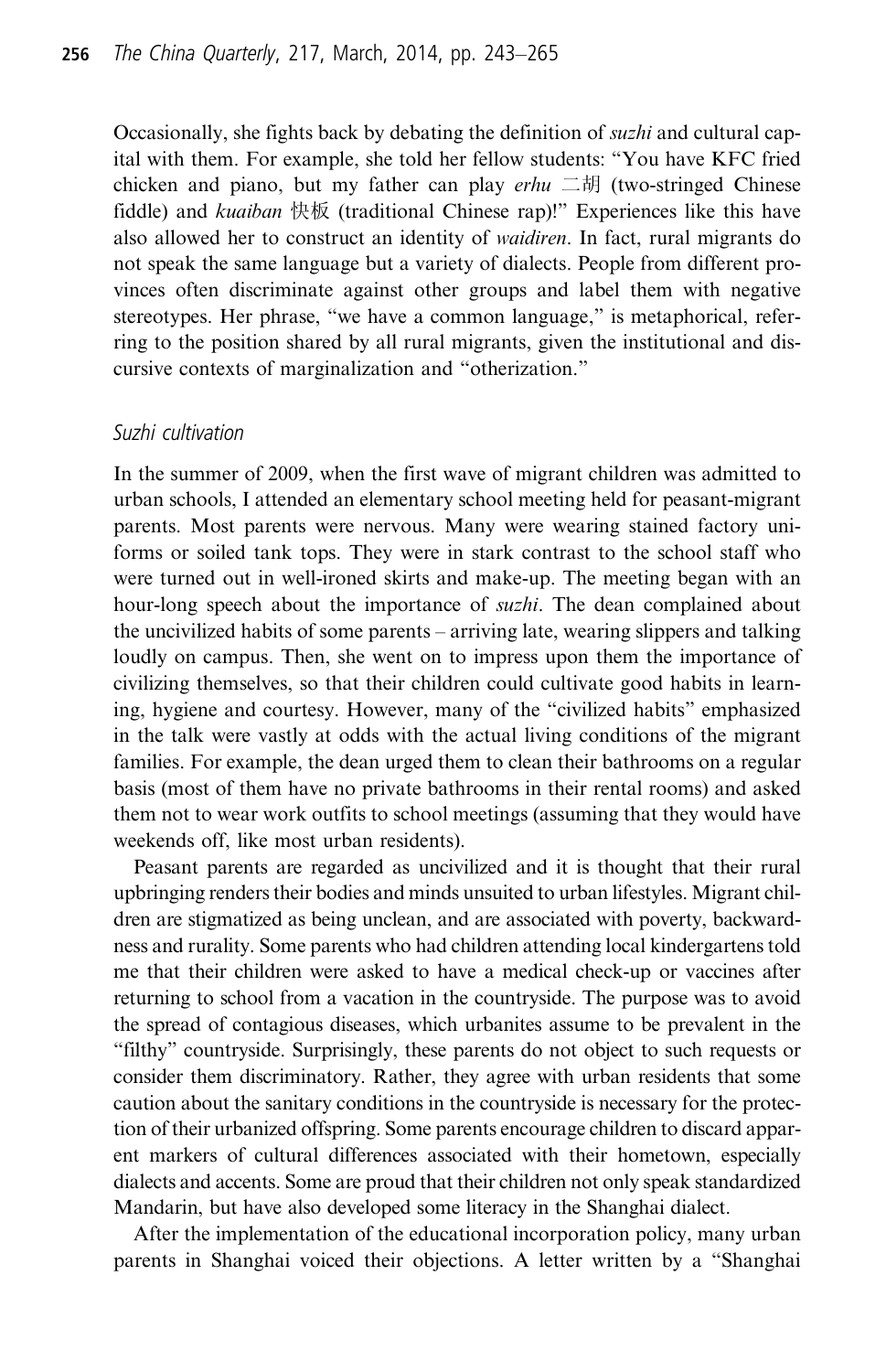Occasionally, she fights back by debating the definition of suzhi and cultural capital with them. For example, she told her fellow students: "You have KFC fried chicken and piano, but my father can play  $erhu \nightharpoonup E\ddot{=}$  (two-stringed Chinese fiddle) and kuaiban 快板 (traditional Chinese rap)!" Experiences like this have also allowed her to construct an identity of waidiren. In fact, rural migrants do not speak the same language but a variety of dialects. People from different provinces often discriminate against other groups and label them with negative stereotypes. Her phrase, "we have a common language," is metaphorical, referring to the position shared by all rural migrants, given the institutional and discursive contexts of marginalization and "otherization."

## Suzhi cultivation

In the summer of 2009, when the first wave of migrant children was admitted to urban schools, I attended an elementary school meeting held for peasant-migrant parents. Most parents were nervous. Many were wearing stained factory uniforms or soiled tank tops. They were in stark contrast to the school staff who were turned out in well-ironed skirts and make-up. The meeting began with an hour-long speech about the importance of suzhi. The dean complained about the uncivilized habits of some parents – arriving late, wearing slippers and talking loudly on campus. Then, she went on to impress upon them the importance of civilizing themselves, so that their children could cultivate good habits in learning, hygiene and courtesy. However, many of the "civilized habits" emphasized in the talk were vastly at odds with the actual living conditions of the migrant families. For example, the dean urged them to clean their bathrooms on a regular basis (most of them have no private bathrooms in their rental rooms) and asked them not to wear work outfits to school meetings (assuming that they would have weekends off, like most urban residents).

Peasant parents are regarded as uncivilized and it is thought that their rural upbringing renders their bodies and minds unsuited to urban lifestyles. Migrant children are stigmatized as being unclean, and are associated with poverty, backwardness and rurality. Some parents who had children attending local kindergartens told me that their children were asked to have a medical check-up or vaccines after returning to school from a vacation in the countryside. The purpose was to avoid the spread of contagious diseases, which urbanites assume to be prevalent in the "filthy" countryside. Surprisingly, these parents do not object to such requests or consider them discriminatory. Rather, they agree with urban residents that some caution about the sanitary conditions in the countryside is necessary for the protection of their urbanized offspring. Some parents encourage children to discard apparent markers of cultural differences associated with their hometown, especially dialects and accents. Some are proud that their children not only speak standardized Mandarin, but have also developed some literacy in the Shanghai dialect.

After the implementation of the educational incorporation policy, many urban parents in Shanghai voiced their objections. A letter written by a "Shanghai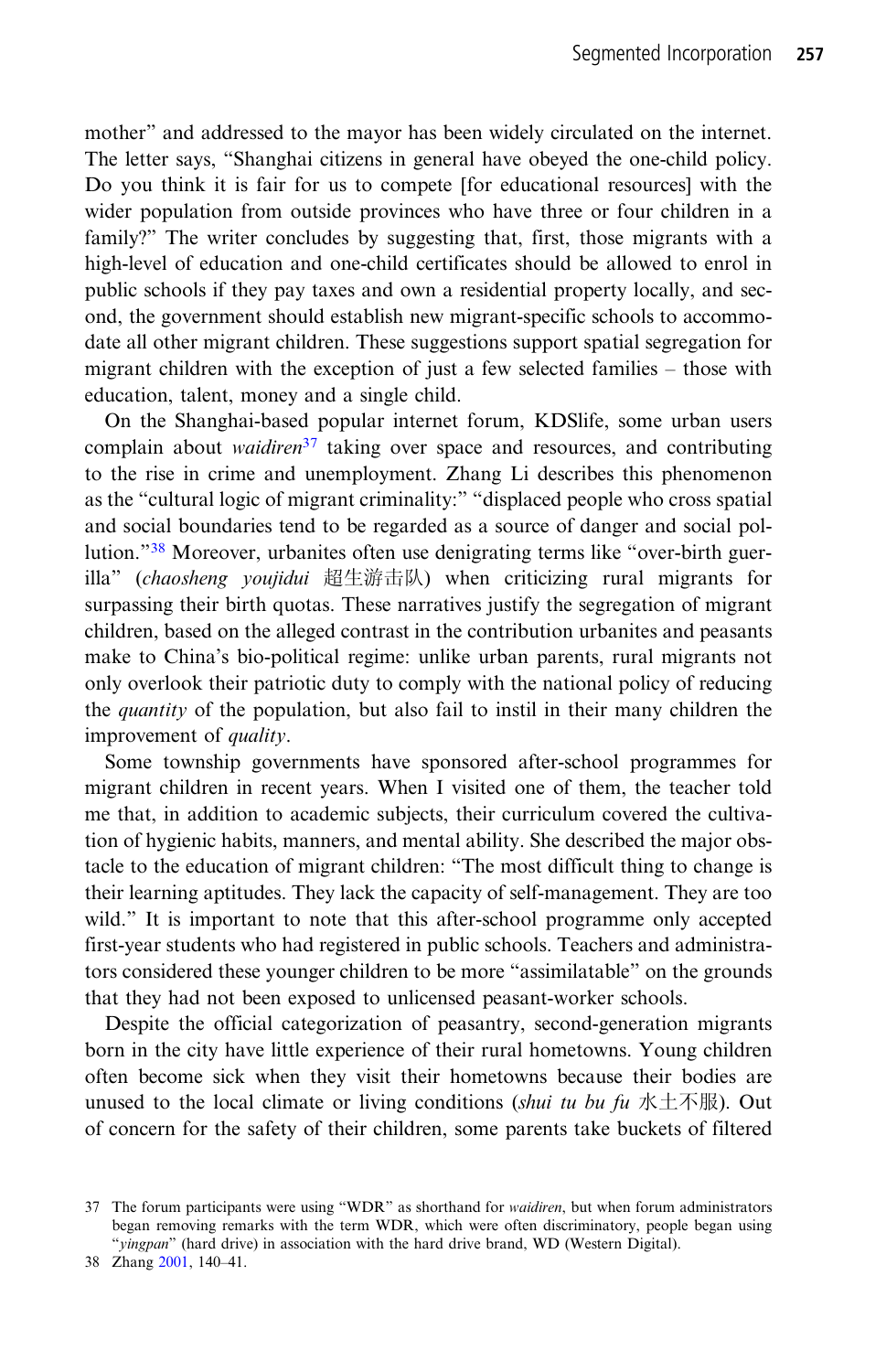mother" and addressed to the mayor has been widely circulated on the internet. The letter says, "Shanghai citizens in general have obeyed the one-child policy. Do you think it is fair for us to compete [for educational resources] with the wider population from outside provinces who have three or four children in a family?" The writer concludes by suggesting that, first, those migrants with a high-level of education and one-child certificates should be allowed to enrol in public schools if they pay taxes and own a residential property locally, and second, the government should establish new migrant-specific schools to accommodate all other migrant children. These suggestions support spatial segregation for migrant children with the exception of just a few selected families – those with education, talent, money and a single child.

On the Shanghai-based popular internet forum, KDSlife, some urban users complain about *waidiren*<sup>37</sup> taking over space and resources, and contributing to the rise in crime and unemployment. Zhang Li describes this phenomenon as the "cultural logic of migrant criminality:" "displaced people who cross spatial and social boundaries tend to be regarded as a source of danger and social pollution."<sup>38</sup> Moreover, urbanites often use denigrating terms like "over-birth guerilla" (chaosheng youjidui 超生游击队) when criticizing rural migrants for surpassing their birth quotas. These narratives justify the segregation of migrant children, based on the alleged contrast in the contribution urbanites and peasants make to China's bio-political regime: unlike urban parents, rural migrants not only overlook their patriotic duty to comply with the national policy of reducing the quantity of the population, but also fail to instil in their many children the improvement of quality.

Some township governments have sponsored after-school programmes for migrant children in recent years. When I visited one of them, the teacher told me that, in addition to academic subjects, their curriculum covered the cultivation of hygienic habits, manners, and mental ability. She described the major obstacle to the education of migrant children: "The most difficult thing to change is their learning aptitudes. They lack the capacity of self-management. They are too wild." It is important to note that this after-school programme only accepted first-year students who had registered in public schools. Teachers and administrators considered these younger children to be more "assimilatable" on the grounds that they had not been exposed to unlicensed peasant-worker schools.

Despite the official categorization of peasantry, second-generation migrants born in the city have little experience of their rural hometowns. Young children often become sick when they visit their hometowns because their bodies are unused to the local climate or living conditions (shui tu bu fu 水土不服). Out of concern for the safety of their children, some parents take buckets of filtered

38 Zhang [2001,](#page-23-0) 140–41.

<sup>37</sup> The forum participants were using "WDR" as shorthand for *waidiren*, but when forum administrators began removing remarks with the term WDR, which were often discriminatory, people began using "*vingpan*" (hard drive) in association with the hard drive brand, WD (Western Digital).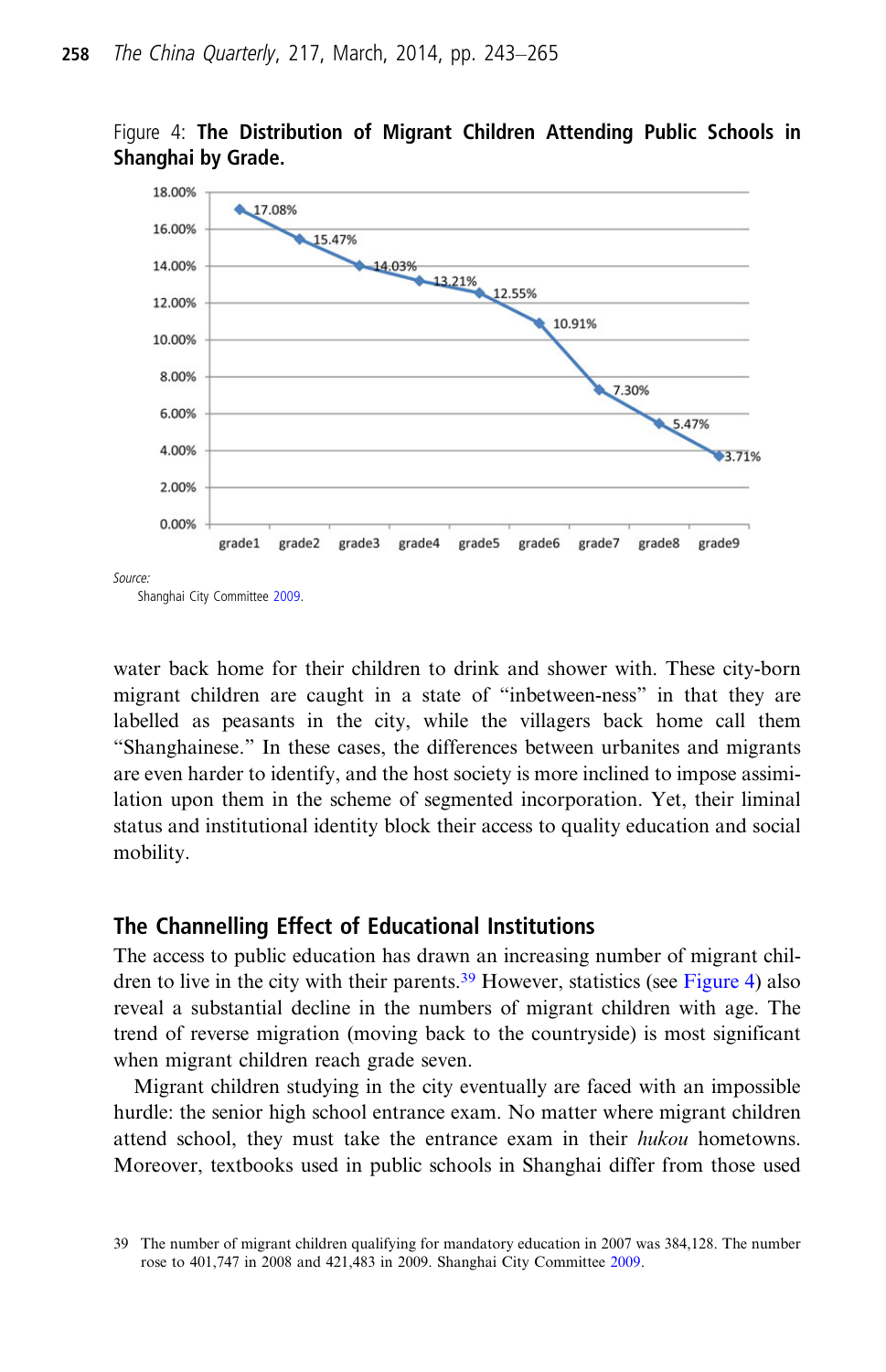



Shanghai City Committee [2009.](#page-22-0)

water back home for their children to drink and shower with. These city-born migrant children are caught in a state of "inbetween-ness" in that they are labelled as peasants in the city, while the villagers back home call them "Shanghainese." In these cases, the differences between urbanites and migrants are even harder to identify, and the host society is more inclined to impose assimilation upon them in the scheme of segmented incorporation. Yet, their liminal status and institutional identity block their access to quality education and social mobility.

# The Channelling Effect of Educational Institutions

The access to public education has drawn an increasing number of migrant children to live in the city with their parents.<sup>39</sup> However, statistics (see Figure 4) also reveal a substantial decline in the numbers of migrant children with age. The trend of reverse migration (moving back to the countryside) is most significant when migrant children reach grade seven.

Migrant children studying in the city eventually are faced with an impossible hurdle: the senior high school entrance exam. No matter where migrant children attend school, they must take the entrance exam in their hukou hometowns. Moreover, textbooks used in public schools in Shanghai differ from those used

<sup>39</sup> The number of migrant children qualifying for mandatory education in 2007 was 384,128. The number rose to 401,747 in 2008 and 421,483 in 2009. Shanghai City Committee [2009.](#page-22-0)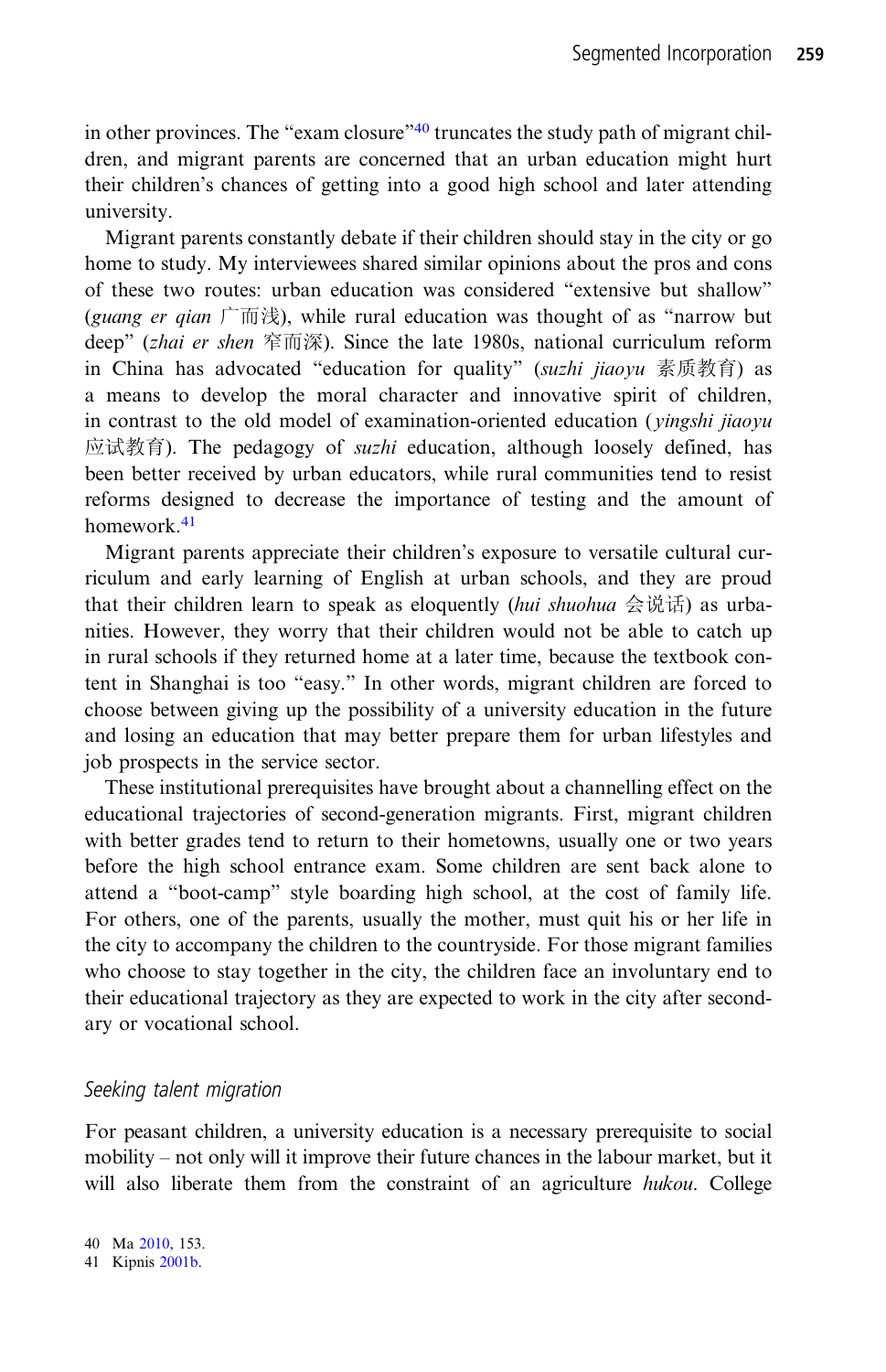in other provinces. The "exam closure" $40$  truncates the study path of migrant children, and migrant parents are concerned that an urban education might hurt their children's chances of getting into a good high school and later attending university.

Migrant parents constantly debate if their children should stay in the city or go home to study. My interviewees shared similar opinions about the pros and cons of these two routes: urban education was considered "extensive but shallow" (guang er qian  $\Gamma$   $\bar{m}$  \xiang), while rural education was thought of as "narrow but deep" (zhai er shen 窄而深). Since the late 1980s, national curriculum reform in China has advocated "education for quality" (suzhi jiaoyu 素质教育) as a means to develop the moral character and innovative spirit of children, in contrast to the old model of examination-oriented education (yingshi jiaoyu  $\overline{w}$ 试教育). The pedagogy of *suzhi* education, although loosely defined, has been better received by urban educators, while rural communities tend to resist reforms designed to decrease the importance of testing and the amount of homework <sup>41</sup>

Migrant parents appreciate their children's exposure to versatile cultural curriculum and early learning of English at urban schools, and they are proud that their children learn to speak as eloquently (hui shuohua 会说话) as urbanities. However, they worry that their children would not be able to catch up in rural schools if they returned home at a later time, because the textbook content in Shanghai is too "easy." In other words, migrant children are forced to choose between giving up the possibility of a university education in the future and losing an education that may better prepare them for urban lifestyles and job prospects in the service sector.

These institutional prerequisites have brought about a channelling effect on the educational trajectories of second-generation migrants. First, migrant children with better grades tend to return to their hometowns, usually one or two years before the high school entrance exam. Some children are sent back alone to attend a "boot-camp" style boarding high school, at the cost of family life. For others, one of the parents, usually the mother, must quit his or her life in the city to accompany the children to the countryside. For those migrant families who choose to stay together in the city, the children face an involuntary end to their educational trajectory as they are expected to work in the city after secondary or vocational school.

#### Seeking talent migration

For peasant children, a university education is a necessary prerequisite to social mobility – not only will it improve their future chances in the labour market, but it will also liberate them from the constraint of an agriculture *hukou*. College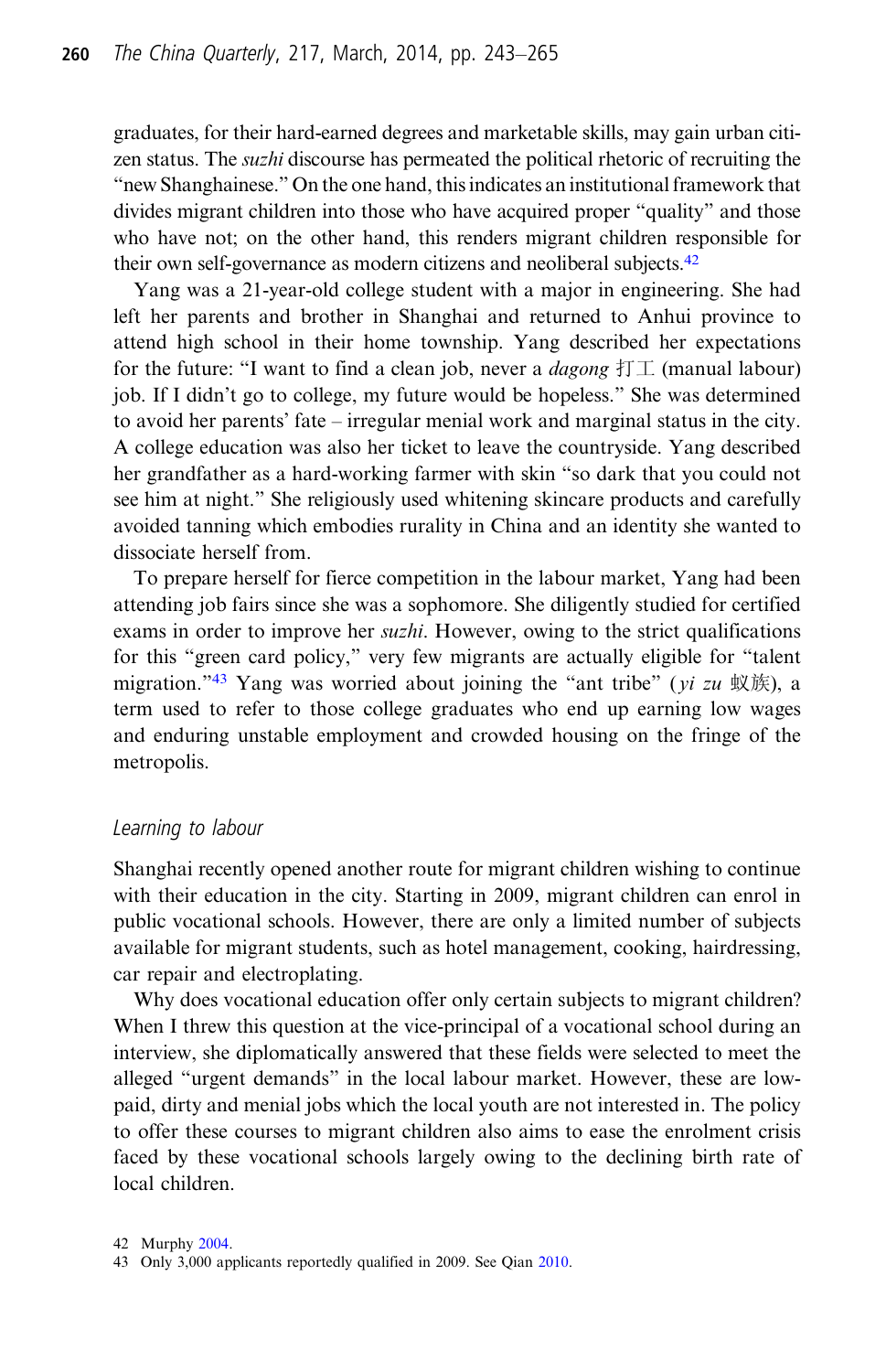graduates, for their hard-earned degrees and marketable skills, may gain urban citizen status. The suzhi discourse has permeated the political rhetoric of recruiting the "new Shanghainese." On the one hand, this indicates an institutional framework that divides migrant children into those who have acquired proper "quality" and those who have not; on the other hand, this renders migrant children responsible for their own self-governance as modern citizens and neoliberal subjects.<sup>42</sup>

Yang was a 21-year-old college student with a major in engineering. She had left her parents and brother in Shanghai and returned to Anhui province to attend high school in their home township. Yang described her expectations for the future: "I want to find a clean job, never a *dagong*  $\text{fJ} \perp \text{f}$  (manual labour) job. If I didn't go to college, my future would be hopeless." She was determined to avoid her parents' fate – irregular menial work and marginal status in the city. A college education was also her ticket to leave the countryside. Yang described her grandfather as a hard-working farmer with skin "so dark that you could not see him at night." She religiously used whitening skincare products and carefully avoided tanning which embodies rurality in China and an identity she wanted to dissociate herself from.

To prepare herself for fierce competition in the labour market, Yang had been attending job fairs since she was a sophomore. She diligently studied for certified exams in order to improve her *suzhi*. However, owing to the strict qualifications for this "green card policy," very few migrants are actually eligible for "talent migration."<sup>43</sup> Yang was worried about joining the "ant tribe" (*yi zu* 蚁族), a term used to refer to those college graduates who end up earning low wages and enduring unstable employment and crowded housing on the fringe of the metropolis.

#### Learning to labour

Shanghai recently opened another route for migrant children wishing to continue with their education in the city. Starting in 2009, migrant children can enrol in public vocational schools. However, there are only a limited number of subjects available for migrant students, such as hotel management, cooking, hairdressing, car repair and electroplating.

Why does vocational education offer only certain subjects to migrant children? When I threw this question at the vice-principal of a vocational school during an interview, she diplomatically answered that these fields were selected to meet the alleged "urgent demands" in the local labour market. However, these are lowpaid, dirty and menial jobs which the local youth are not interested in. The policy to offer these courses to migrant children also aims to ease the enrolment crisis faced by these vocational schools largely owing to the declining birth rate of local children.

<sup>43</sup> Only 3,000 applicants reportedly qualified in 2009. See Qian [2010.](#page-22-0)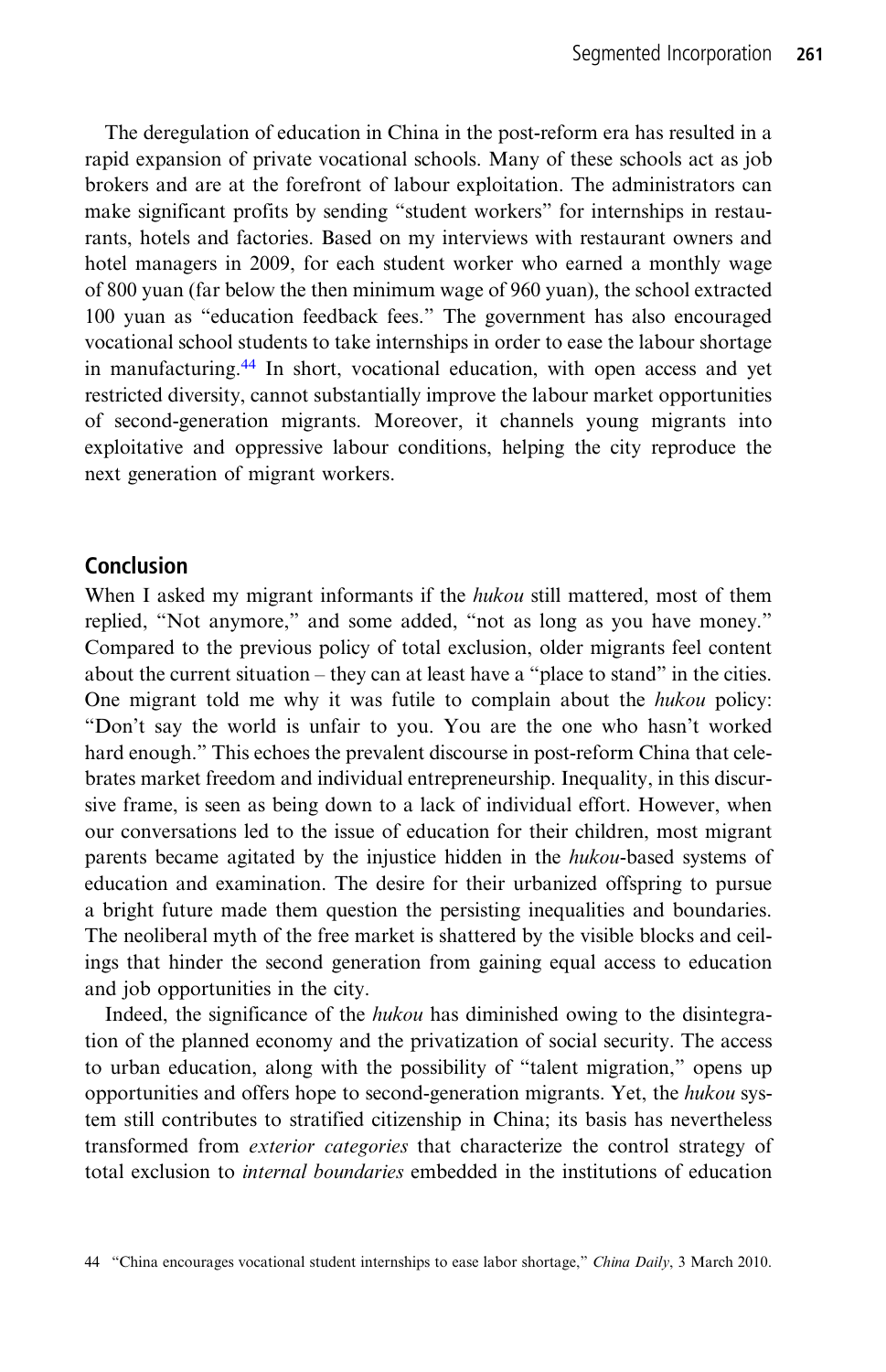The deregulation of education in China in the post-reform era has resulted in a rapid expansion of private vocational schools. Many of these schools act as job brokers and are at the forefront of labour exploitation. The administrators can make significant profits by sending "student workers" for internships in restaurants, hotels and factories. Based on my interviews with restaurant owners and hotel managers in 2009, for each student worker who earned a monthly wage of 800 yuan (far below the then minimum wage of 960 yuan), the school extracted 100 yuan as "education feedback fees." The government has also encouraged vocational school students to take internships in order to ease the labour shortage in manufacturing.<sup>44</sup> In short, vocational education, with open access and yet restricted diversity, cannot substantially improve the labour market opportunities of second-generation migrants. Moreover, it channels young migrants into exploitative and oppressive labour conditions, helping the city reproduce the next generation of migrant workers.

# Conclusion

When I asked my migrant informants if the *hukou* still mattered, most of them replied, "Not anymore," and some added, "not as long as you have money." Compared to the previous policy of total exclusion, older migrants feel content about the current situation – they can at least have a "place to stand" in the cities. One migrant told me why it was futile to complain about the hukou policy: "Don't say the world is unfair to you. You are the one who hasn't worked hard enough." This echoes the prevalent discourse in post-reform China that celebrates market freedom and individual entrepreneurship. Inequality, in this discursive frame, is seen as being down to a lack of individual effort. However, when our conversations led to the issue of education for their children, most migrant parents became agitated by the injustice hidden in the hukou-based systems of education and examination. The desire for their urbanized offspring to pursue a bright future made them question the persisting inequalities and boundaries. The neoliberal myth of the free market is shattered by the visible blocks and ceilings that hinder the second generation from gaining equal access to education and job opportunities in the city.

Indeed, the significance of the *hukou* has diminished owing to the disintegration of the planned economy and the privatization of social security. The access to urban education, along with the possibility of "talent migration," opens up opportunities and offers hope to second-generation migrants. Yet, the hukou system still contributes to stratified citizenship in China; its basis has nevertheless transformed from exterior categories that characterize the control strategy of total exclusion to internal boundaries embedded in the institutions of education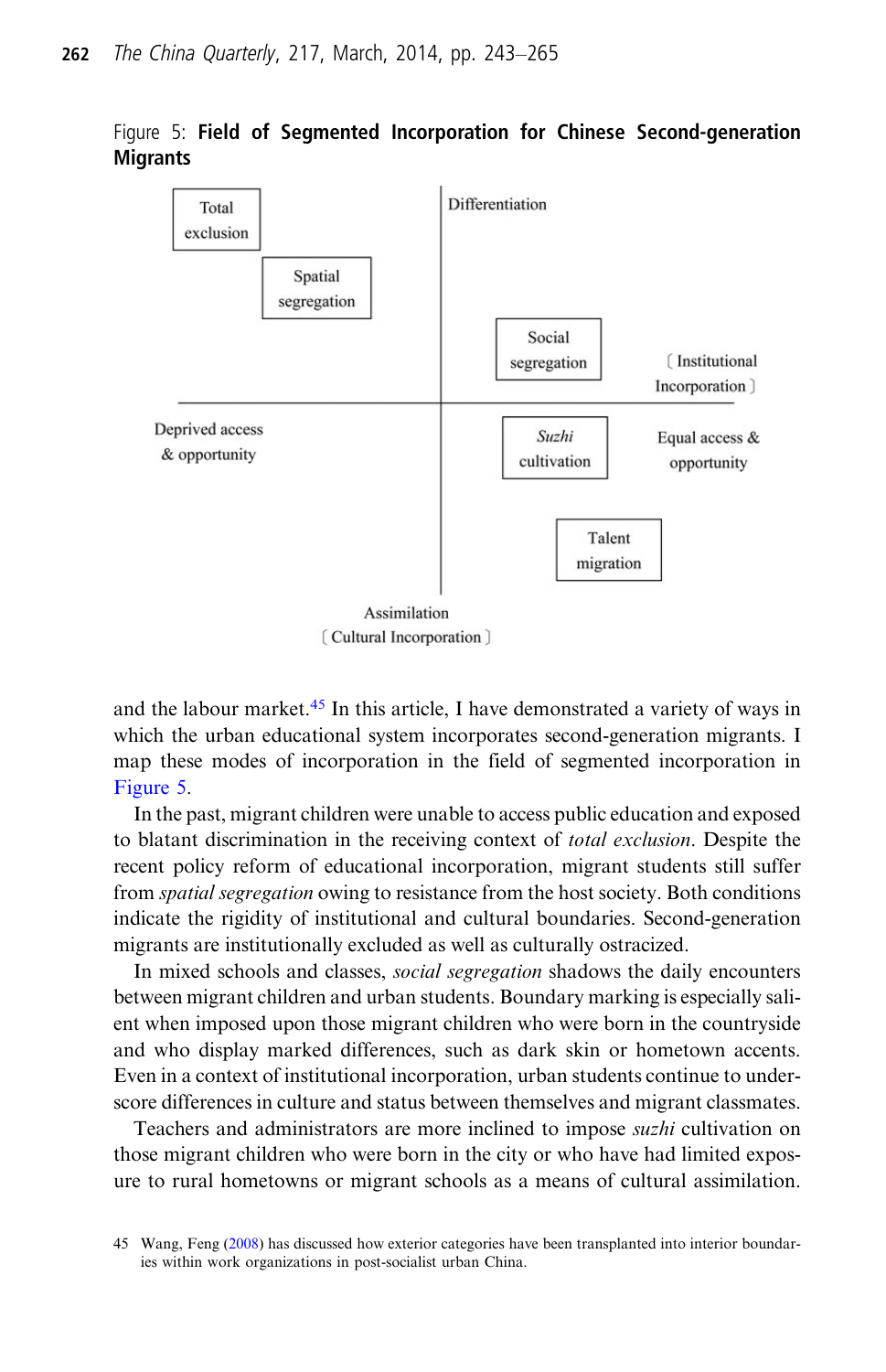

Figure 5: Field of Segmented Incorporation for Chinese Second-generation **Migrants** 

[Cultural Incorporation]

and the labour market.<sup>45</sup> In this article, I have demonstrated a variety of ways in which the urban educational system incorporates second-generation migrants. I map these modes of incorporation in the field of segmented incorporation in Figure 5.

In the past, migrant children were unable to access public education and exposed to blatant discrimination in the receiving context of total exclusion. Despite the recent policy reform of educational incorporation, migrant students still suffer from spatial segregation owing to resistance from the host society. Both conditions indicate the rigidity of institutional and cultural boundaries. Second-generation migrants are institutionally excluded as well as culturally ostracized.

In mixed schools and classes, social segregation shadows the daily encounters between migrant children and urban students. Boundary marking is especially salient when imposed upon those migrant children who were born in the countryside and who display marked differences, such as dark skin or hometown accents. Even in a context of institutional incorporation, urban students continue to underscore differences in culture and status between themselves and migrant classmates.

Teachers and administrators are more inclined to impose suzhi cultivation on those migrant children who were born in the city or who have had limited exposure to rural hometowns or migrant schools as a means of cultural assimilation.

<sup>45</sup> Wang, Feng [\(2008](#page-22-0)) has discussed how exterior categories have been transplanted into interior boundaries within work organizations in post-socialist urban China.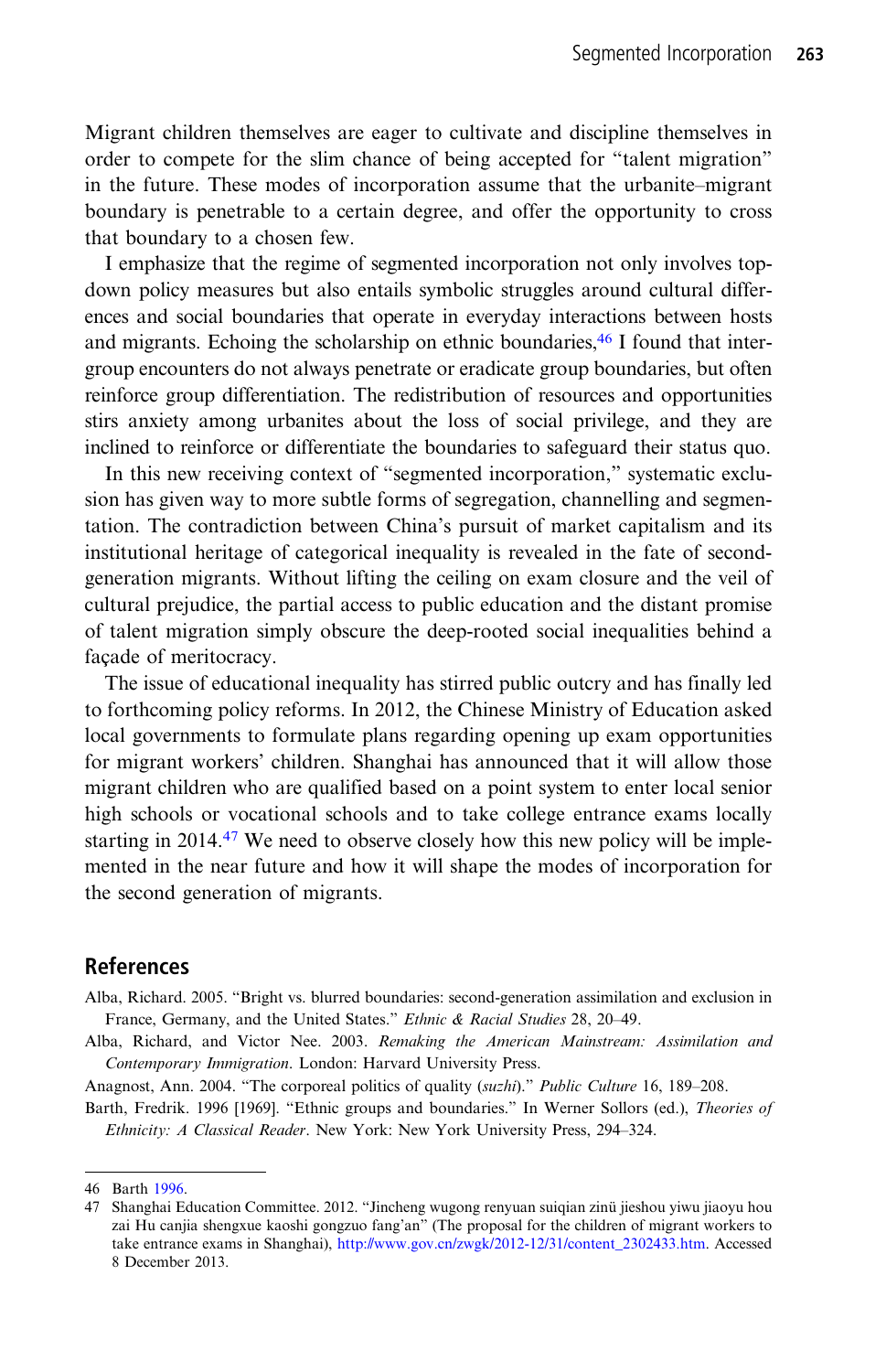<span id="page-21-0"></span>Migrant children themselves are eager to cultivate and discipline themselves in order to compete for the slim chance of being accepted for "talent migration" in the future. These modes of incorporation assume that the urbanite–migrant boundary is penetrable to a certain degree, and offer the opportunity to cross that boundary to a chosen few.

I emphasize that the regime of segmented incorporation not only involves topdown policy measures but also entails symbolic struggles around cultural differences and social boundaries that operate in everyday interactions between hosts and migrants. Echoing the scholarship on ethnic boundaries, $46$  I found that intergroup encounters do not always penetrate or eradicate group boundaries, but often reinforce group differentiation. The redistribution of resources and opportunities stirs anxiety among urbanites about the loss of social privilege, and they are inclined to reinforce or differentiate the boundaries to safeguard their status quo.

In this new receiving context of "segmented incorporation," systematic exclusion has given way to more subtle forms of segregation, channelling and segmentation. The contradiction between China's pursuit of market capitalism and its institutional heritage of categorical inequality is revealed in the fate of secondgeneration migrants. Without lifting the ceiling on exam closure and the veil of cultural prejudice, the partial access to public education and the distant promise of talent migration simply obscure the deep-rooted social inequalities behind a façade of meritocracy.

The issue of educational inequality has stirred public outcry and has finally led to forthcoming policy reforms. In 2012, the Chinese Ministry of Education asked local governments to formulate plans regarding opening up exam opportunities for migrant workers' children. Shanghai has announced that it will allow those migrant children who are qualified based on a point system to enter local senior high schools or vocational schools and to take college entrance exams locally starting in 2014.<sup>47</sup> We need to observe closely how this new policy will be implemented in the near future and how it will shape the modes of incorporation for the second generation of migrants.

# References

Alba, Richard. 2005. "Bright vs. blurred boundaries: second-generation assimilation and exclusion in France, Germany, and the United States." Ethnic & Racial Studies 28, 20–49.

Alba, Richard, and Victor Nee. 2003. Remaking the American Mainstream: Assimilation and Contemporary Immigration. London: Harvard University Press.

Anagnost, Ann. 2004. "The corporeal politics of quality (suzhi)." Public Culture 16, 189–208.

Barth, Fredrik. 1996 [1969]. "Ethnic groups and boundaries." In Werner Sollors (ed.), Theories of Ethnicity: A Classical Reader. New York: New York University Press, 294–324.

<sup>46</sup> Barth 1996.

<sup>47</sup> Shanghai Education Committee. 2012. "Jincheng wugong renyuan suiqian zinü jieshou yiwu jiaoyu hou zai Hu canjia shengxue kaoshi gongzuo fang'an" (The proposal for the children of migrant workers to take entrance exams in Shanghai), [http://www.gov.cn/zwgk/2012-12/31/content\\_2302433.htm](http://www.gov.cn/zwgk/2012-12/31/content_2302433.htm). Accessed 8 December 2013.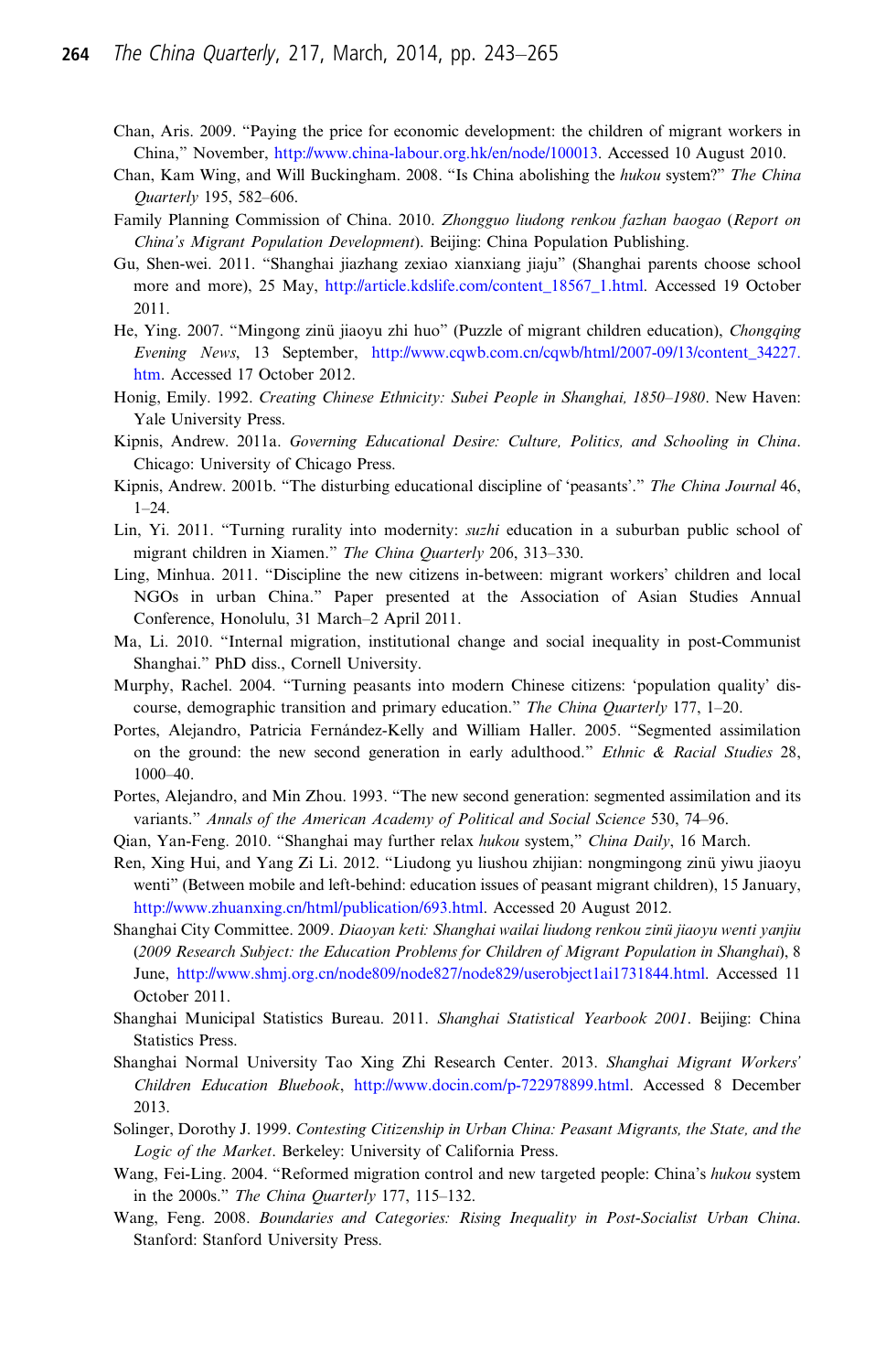- <span id="page-22-0"></span>Chan, Aris. 2009. "Paying the price for economic development: the children of migrant workers in China," November, [http://www.china-labour.org.hk/en/node/100013.](http://www.china-labour.org.hk/en/node/100013) Accessed 10 August 2010.
- Chan, Kam Wing, and Will Buckingham. 2008. "Is China abolishing the hukou system?" The China Quarterly 195, 582–606.
- Family Planning Commission of China. 2010. Zhongguo liudong renkou fazhan baogao (Report on China's Migrant Population Development). Beijing: China Population Publishing.
- Gu, Shen-wei. 2011. "Shanghai jiazhang zexiao xianxiang jiaju" (Shanghai parents choose school more and more), 25 May, [http://article.kdslife.com/content\\_18567\\_1.html](http://article.kdslife.com/content_18567_1.html). Accessed 19 October 2011.
- He, Ying. 2007. "Mingong zinü jiaoyu zhi huo" (Puzzle of migrant children education), Chongqing Evening News, 13 September, [http://www.cqwb.com.cn/cqwb/html/2007-09/13/content\\_34227.](http://www.cqwb.com.cn/cqwb/html/2007-09/13/content_34227.htm) [htm.](http://www.cqwb.com.cn/cqwb/html/2007-09/13/content_34227.htm) Accessed 17 October 2012.
- Honig, Emily. 1992. Creating Chinese Ethnicity: Subei People in Shanghai, 1850–1980. New Haven: Yale University Press.
- Kipnis, Andrew. 2011a. Governing Educational Desire: Culture, Politics, and Schooling in China. Chicago: University of Chicago Press.
- Kipnis, Andrew. 2001b. "The disturbing educational discipline of 'peasants'." The China Journal 46,  $1-24$ .
- Lin, Yi. 2011. "Turning rurality into modernity: *suzhi* education in a suburban public school of migrant children in Xiamen." The China Quarterly 206, 313–330.
- Ling, Minhua. 2011. "Discipline the new citizens in-between: migrant workers' children and local NGOs in urban China." Paper presented at the Association of Asian Studies Annual Conference, Honolulu, 31 March–2 April 2011.
- Ma, Li. 2010. "Internal migration, institutional change and social inequality in post-Communist Shanghai." PhD diss., Cornell University.
- Murphy, Rachel. 2004. "Turning peasants into modern Chinese citizens: 'population quality' discourse, demographic transition and primary education." The China Quarterly 177, 1–20.
- Portes, Alejandro, Patricia Fernández-Kelly and William Haller. 2005. "Segmented assimilation on the ground: the new second generation in early adulthood." Ethnic  $\&$  Racial Studies 28, 1000–40.
- Portes, Alejandro, and Min Zhou. 1993. "The new second generation: segmented assimilation and its variants." Annals of the American Academy of Political and Social Science 530, 74–96.
- Qian, Yan-Feng. 2010. "Shanghai may further relax hukou system," China Daily, 16 March.
- Ren, Xing Hui, and Yang Zi Li. 2012. "Liudong yu liushou zhijian: nongmingong zinü yiwu jiaoyu wenti" (Between mobile and left-behind: education issues of peasant migrant children), 15 January, [http://www.zhuanxing.cn/html/publication/693.html.](http://www.zhuanxing.cn/html/publication/693.html) Accessed 20 August 2012.
- Shanghai City Committee. 2009. Diaoyan keti: Shanghai wailai liudong renkou zinü jiaoyu wenti yanjiu (2009 Research Subject: the Education Problems for Children of Migrant Population in Shanghai), 8 June, [http://www.shmj.org.cn/node809/node827/node829/userobject1ai1731844.html.](http://www.shmj.org.cn/node809/node827/node829/userobject1ai1731844.html) Accessed 11 October 2011.
- Shanghai Municipal Statistics Bureau. 2011. Shanghai Statistical Yearbook 2001. Beijing: China Statistics Press.
- Shanghai Normal University Tao Xing Zhi Research Center. 2013. Shanghai Migrant Workers' Children Education Bluebook, <http://www.docin.com/p-722978899.html>. Accessed 8 December 2013.
- Solinger, Dorothy J. 1999. Contesting Citizenship in Urban China: Peasant Migrants, the State, and the Logic of the Market. Berkeley: University of California Press.
- Wang, Fei-Ling. 2004. "Reformed migration control and new targeted people: China's hukou system in the 2000s." The China Quarterly 177, 115–132.
- Wang, Feng. 2008. Boundaries and Categories: Rising Inequality in Post-Socialist Urban China. Stanford: Stanford University Press.